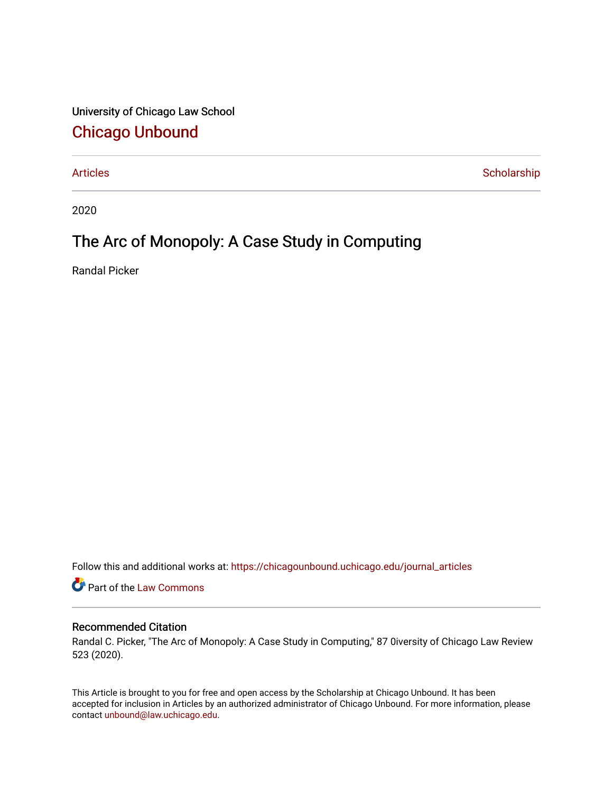University of Chicago Law School [Chicago Unbound](https://chicagounbound.uchicago.edu/)

[Articles](https://chicagounbound.uchicago.edu/journal_articles) **Scholarship** 

2020

# The Arc of Monopoly: A Case Study in Computing

Randal Picker

Follow this and additional works at: [https://chicagounbound.uchicago.edu/journal\\_articles](https://chicagounbound.uchicago.edu/journal_articles?utm_source=chicagounbound.uchicago.edu%2Fjournal_articles%2F10076&utm_medium=PDF&utm_campaign=PDFCoverPages) 

Part of the [Law Commons](http://network.bepress.com/hgg/discipline/578?utm_source=chicagounbound.uchicago.edu%2Fjournal_articles%2F10076&utm_medium=PDF&utm_campaign=PDFCoverPages)

### Recommended Citation

Randal C. Picker, "The Arc of Monopoly: A Case Study in Computing," 87 0iversity of Chicago Law Review 523 (2020).

This Article is brought to you for free and open access by the Scholarship at Chicago Unbound. It has been accepted for inclusion in Articles by an authorized administrator of Chicago Unbound. For more information, please contact [unbound@law.uchicago.edu](mailto:unbound@law.uchicago.edu).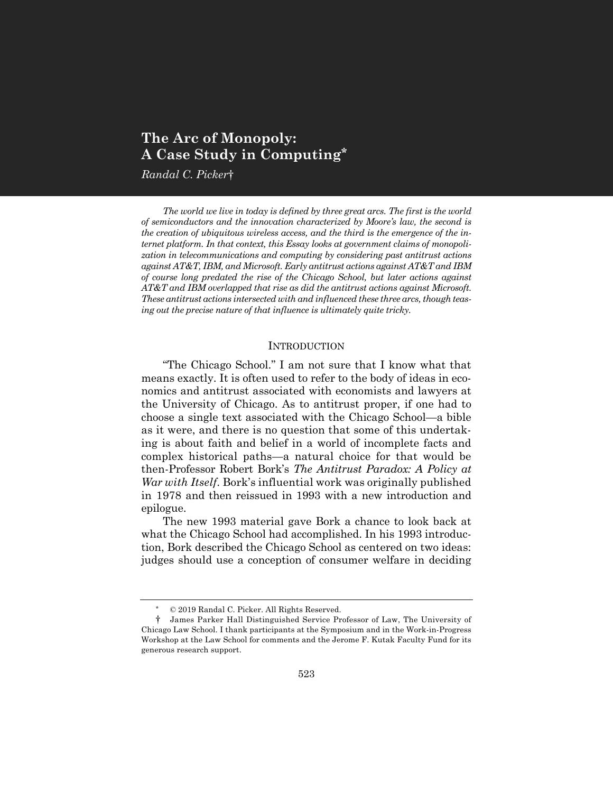## **The Arc of Monopoly: A Case Study in Computing\***

*Randal C. Picker*†

*The world we live in today is defined by three great arcs. The first is the world of semiconductors and the innovation characterized by Moore's law, the second is the creation of ubiquitous wireless access, and the third is the emergence of the internet platform. In that context, this Essay looks at government claims of monopolization in telecommunications and computing by considering past antitrust actions against AT&T, IBM, and Microsoft. Early antitrust actions against AT&T and IBM of course long predated the rise of the Chicago School, but later actions against AT&T and IBM overlapped that rise as did the antitrust actions against Microsoft. These antitrust actions intersected with and influenced these three arcs, though teasing out the precise nature of that influence is ultimately quite tricky.*

#### **INTRODUCTION**

"The Chicago School." I am not sure that I know what that means exactly. It is often used to refer to the body of ideas in economics and antitrust associated with economists and lawyers at the University of Chicago. As to antitrust proper, if one had to choose a single text associated with the Chicago School—a bible as it were, and there is no question that some of this undertaking is about faith and belief in a world of incomplete facts and complex historical paths—a natural choice for that would be then-Professor Robert Bork's *The Antitrust Paradox: A Policy at War with Itself*. Bork's influential work was originally published in 1978 and then reissued in 1993 with a new introduction and epilogue.

The new 1993 material gave Bork a chance to look back at what the Chicago School had accomplished. In his 1993 introduction, Bork described the Chicago School as centered on two ideas: judges should use a conception of consumer welfare in deciding

 $© 2019$  Randal C. Picker. All Rights Reserved.

<sup>†</sup> James Parker Hall Distinguished Service Professor of Law, The University of Chicago Law School. I thank participants at the Symposium and in the Work-in-Progress Workshop at the Law School for comments and the Jerome F. Kutak Faculty Fund for its generous research support.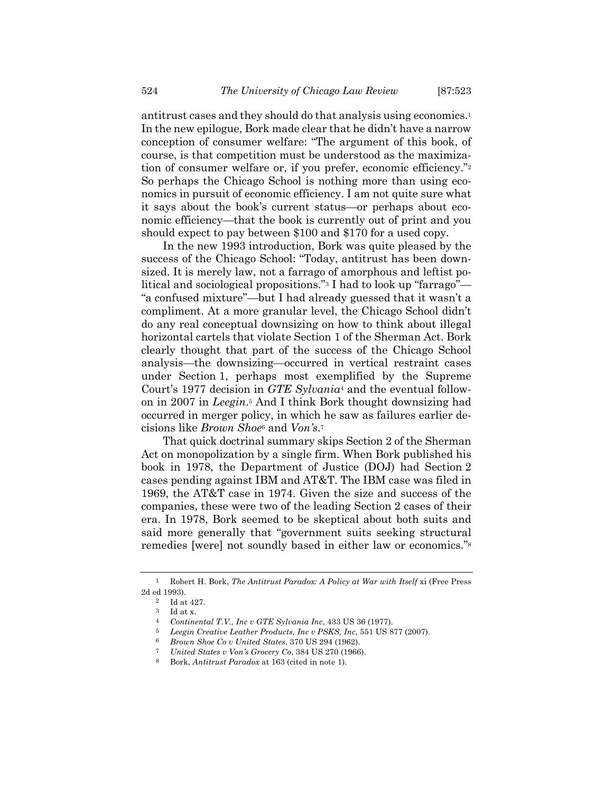antitrust cases and they should do that analysis using economics.1 In the new epilogue, Bork made clear that he didn't have a narrow conception of consumer welfare: "The argument of this book, of course, is that competition must be understood as the maximization of consumer welfare or, if you prefer, economic efficiency."2 So perhaps the Chicago School is nothing more than using economics in pursuit of economic efficiency. I am not quite sure what it says about the book's current status—or perhaps about economic efficiency—that the book is currently out of print and you should expect to pay between \$100 and \$170 for a used copy.

In the new 1993 introduction, Bork was quite pleased by the success of the Chicago School: "Today, antitrust has been downsized. It is merely law, not a farrago of amorphous and leftist political and sociological propositions."3 I had to look up "farrago"— "a confused mixture"—but I had already guessed that it wasn't a compliment. At a more granular level, the Chicago School didn't do any real conceptual downsizing on how to think about illegal horizontal cartels that violate Section 1 of the Sherman Act. Bork clearly thought that part of the success of the Chicago School analysis—the downsizing—occurred in vertical restraint cases under Section 1, perhaps most exemplified by the Supreme Court's 1977 decision in *GTE Sylvania*<sup>4</sup> and the eventual followon in 2007 in *Leegin*.5 And I think Bork thought downsizing had occurred in merger policy, in which he saw as failures earlier decisions like *Brown Shoe*<sup>6</sup> and *Von's*.7

That quick doctrinal summary skips Section 2 of the Sherman Act on monopolization by a single firm. When Bork published his book in 1978, the Department of Justice (DOJ) had Section 2 cases pending against IBM and AT&T. The IBM case was filed in 1969, the AT&T case in 1974. Given the size and success of the companies, these were two of the leading Section 2 cases of their era. In 1978, Bork seemed to be skeptical about both suits and said more generally that "government suits seeking structural remedies [were] not soundly based in either law or economics."8

<sup>1</sup> Robert H. Bork, *The Antitrust Paradox: A Policy at War with Itself* xi (Free Press 2d ed 1993).

<sup>2</sup> Id at 427.

 $^3$   $\;$  Id at x.

<sup>4</sup> *Continental T.V., Inc v GTE Sylvania Inc*, 433 US 36 (1977).

<sup>5</sup> *Leegin Creative Leather Products, Inc v PSKS, Inc*, 551 US 877 (2007).

<sup>6</sup> *Brown Shoe Co v United States*, 370 US 294 (1962).

<sup>7</sup> *United States v Von's Grocery Co*, 384 US 270 (1966).

<sup>8</sup> Bork, *Antitrust Paradox* at 163 (cited in note 1).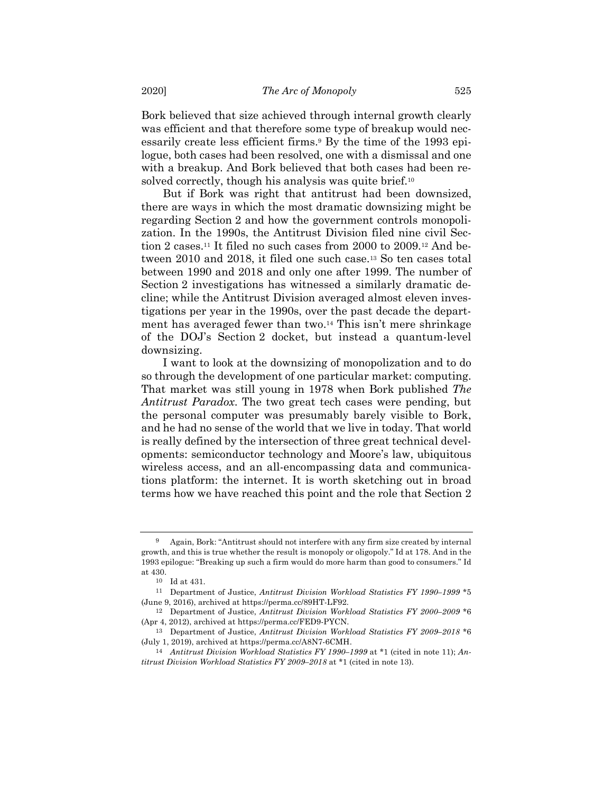Bork believed that size achieved through internal growth clearly was efficient and that therefore some type of breakup would necessarily create less efficient firms.9 By the time of the 1993 epilogue, both cases had been resolved, one with a dismissal and one with a breakup. And Bork believed that both cases had been resolved correctly, though his analysis was quite brief.<sup>10</sup>

But if Bork was right that antitrust had been downsized, there are ways in which the most dramatic downsizing might be regarding Section 2 and how the government controls monopolization. In the 1990s, the Antitrust Division filed nine civil Section 2 cases.11 It filed no such cases from 2000 to 2009.12 And between 2010 and 2018, it filed one such case.13 So ten cases total between 1990 and 2018 and only one after 1999. The number of Section 2 investigations has witnessed a similarly dramatic decline; while the Antitrust Division averaged almost eleven investigations per year in the 1990s, over the past decade the department has averaged fewer than two.14 This isn't mere shrinkage of the DOJ's Section 2 docket, but instead a quantum-level downsizing.

I want to look at the downsizing of monopolization and to do so through the development of one particular market: computing. That market was still young in 1978 when Bork published *The Antitrust Paradox*. The two great tech cases were pending, but the personal computer was presumably barely visible to Bork, and he had no sense of the world that we live in today. That world is really defined by the intersection of three great technical developments: semiconductor technology and Moore's law, ubiquitous wireless access, and an all-encompassing data and communications platform: the internet. It is worth sketching out in broad terms how we have reached this point and the role that Section 2

<sup>9</sup> Again, Bork: "Antitrust should not interfere with any firm size created by internal growth, and this is true whether the result is monopoly or oligopoly." Id at 178. And in the 1993 epilogue: "Breaking up such a firm would do more harm than good to consumers." Id at 430.

 $^{\rm 10}$   $\,$  Id at 431.

<sup>11</sup> Department of Justice, *Antitrust Division Workload Statistics FY 1990–1999* \*5 (June 9, 2016), archived at https://perma.cc/89HT-LF92.

<sup>12</sup> Department of Justice, *Antitrust Division Workload Statistics FY 2000–2009* \*6 (Apr 4, 2012), archived at https://perma.cc/FED9-PYCN.

<sup>13</sup> Department of Justice, *Antitrust Division Workload Statistics FY 2009–2018* \*6 (July 1, 2019), archived at https://perma.cc/A8N7-6CMH.

<sup>14</sup> *Antitrust Division Workload Statistics FY 1990–1999* at \*1 (cited in note 11); *Antitrust Division Workload Statistics FY 2009–2018* at \*1 (cited in note 13).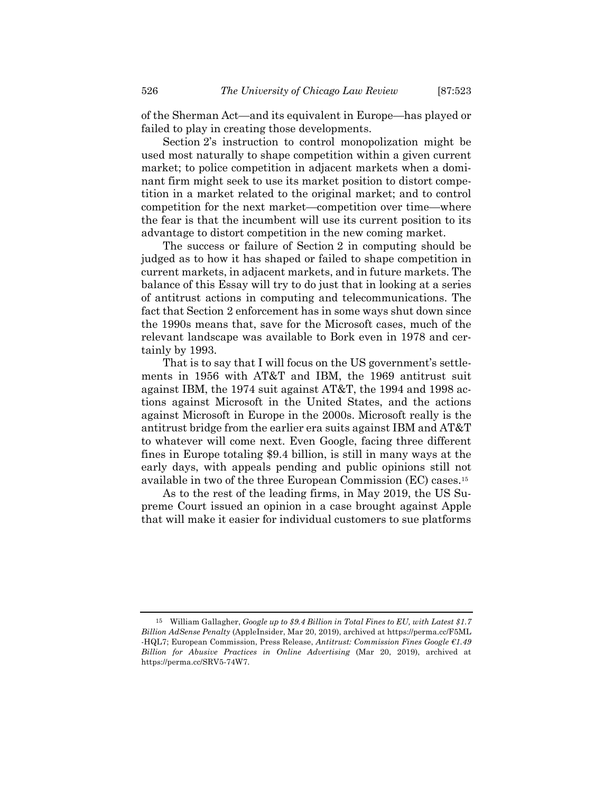of the Sherman Act—and its equivalent in Europe—has played or failed to play in creating those developments.

Section 2's instruction to control monopolization might be used most naturally to shape competition within a given current market; to police competition in adjacent markets when a dominant firm might seek to use its market position to distort competition in a market related to the original market; and to control competition for the next market—competition over time—where the fear is that the incumbent will use its current position to its advantage to distort competition in the new coming market.

The success or failure of Section 2 in computing should be judged as to how it has shaped or failed to shape competition in current markets, in adjacent markets, and in future markets. The balance of this Essay will try to do just that in looking at a series of antitrust actions in computing and telecommunications. The fact that Section 2 enforcement has in some ways shut down since the 1990s means that, save for the Microsoft cases, much of the relevant landscape was available to Bork even in 1978 and certainly by 1993.

That is to say that I will focus on the US government's settlements in 1956 with AT&T and IBM, the 1969 antitrust suit against IBM, the 1974 suit against AT&T, the 1994 and 1998 actions against Microsoft in the United States, and the actions against Microsoft in Europe in the 2000s. Microsoft really is the antitrust bridge from the earlier era suits against IBM and AT&T to whatever will come next. Even Google, facing three different fines in Europe totaling \$9.4 billion, is still in many ways at the early days, with appeals pending and public opinions still not available in two of the three European Commission (EC) cases.15

As to the rest of the leading firms, in May 2019, the US Supreme Court issued an opinion in a case brought against Apple that will make it easier for individual customers to sue platforms

<sup>15</sup> William Gallagher, *Google up to \$9.4 Billion in Total Fines to EU, with Latest \$1.7 Billion AdSense Penalty* (AppleInsider, Mar 20, 2019), archived at https://perma.cc/F5ML -HQL7; European Commission, Press Release, *Antitrust: Commission Fines Google €1.49 Billion for Abusive Practices in Online Advertising* (Mar 20, 2019), archived at https://perma.cc/SRV5-74W7.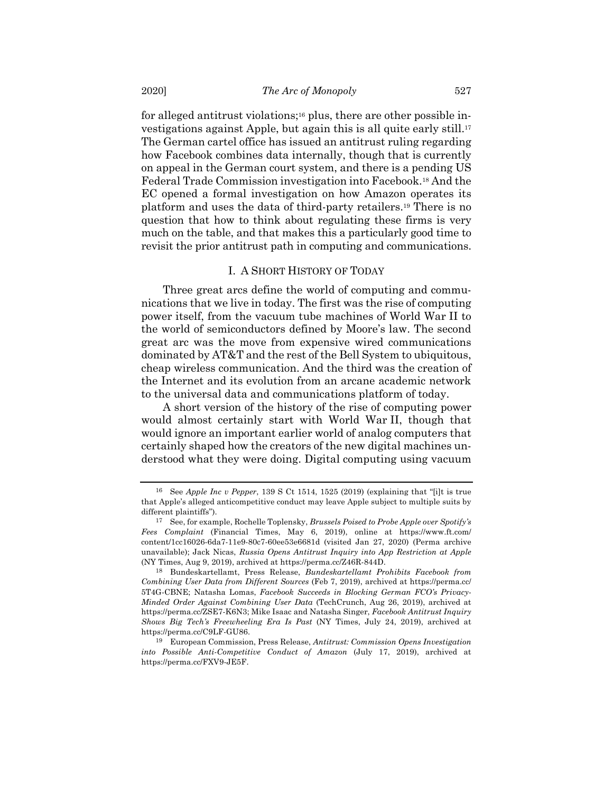for alleged antitrust violations;16 plus, there are other possible investigations against Apple, but again this is all quite early still.17 The German cartel office has issued an antitrust ruling regarding how Facebook combines data internally, though that is currently on appeal in the German court system, and there is a pending US Federal Trade Commission investigation into Facebook.18 And the EC opened a formal investigation on how Amazon operates its platform and uses the data of third-party retailers.19 There is no question that how to think about regulating these firms is very much on the table, and that makes this a particularly good time to revisit the prior antitrust path in computing and communications.

#### I. A SHORT HISTORY OF TODAY

Three great arcs define the world of computing and communications that we live in today. The first was the rise of computing power itself, from the vacuum tube machines of World War II to the world of semiconductors defined by Moore's law. The second great arc was the move from expensive wired communications dominated by AT&T and the rest of the Bell System to ubiquitous, cheap wireless communication. And the third was the creation of the Internet and its evolution from an arcane academic network to the universal data and communications platform of today.

A short version of the history of the rise of computing power would almost certainly start with World War II, though that would ignore an important earlier world of analog computers that certainly shaped how the creators of the new digital machines understood what they were doing. Digital computing using vacuum

<sup>16</sup> See *Apple Inc v Pepper*, 139 S Ct 1514, 1525 (2019) (explaining that "[i]t is true that Apple's alleged anticompetitive conduct may leave Apple subject to multiple suits by different plaintiffs").

<sup>17</sup> See, for example, Rochelle Toplensky, *Brussels Poised to Probe Apple over Spotify's Fees Complaint* (Financial Times, May 6, 2019), online at https://www.ft.com/ content/1cc16026-6da7-11e9-80c7-60ee53e6681d (visited Jan 27, 2020) (Perma archive unavailable); Jack Nicas, *Russia Opens Antitrust Inquiry into App Restriction at Apple* (NY Times, Aug 9, 2019), archived at https://perma.cc/Z46R-844D.

<sup>18</sup> Bundeskartellamt, Press Release, *Bundeskartellamt Prohibits Facebook from Combining User Data from Different Sources* (Feb 7, 2019), archived at https://perma.cc/ 5T4G-CBNE; Natasha Lomas, *Facebook Succeeds in Blocking German FCO's Privacy-Minded Order Against Combining User Data* (TechCrunch, Aug 26, 2019), archived at https://perma.cc/ZSE7-K6N3; Mike Isaac and Natasha Singer, *Facebook Antitrust Inquiry Shows Big Tech's Freewheeling Era Is Past* (NY Times, July 24, 2019), archived at https://perma.cc/C9LF-GU86.

<sup>19</sup> European Commission, Press Release, *Antitrust: Commission Opens Investigation into Possible Anti-Competitive Conduct of Amazon* (July 17, 2019), archived at https://perma.cc/FXV9-JE5F.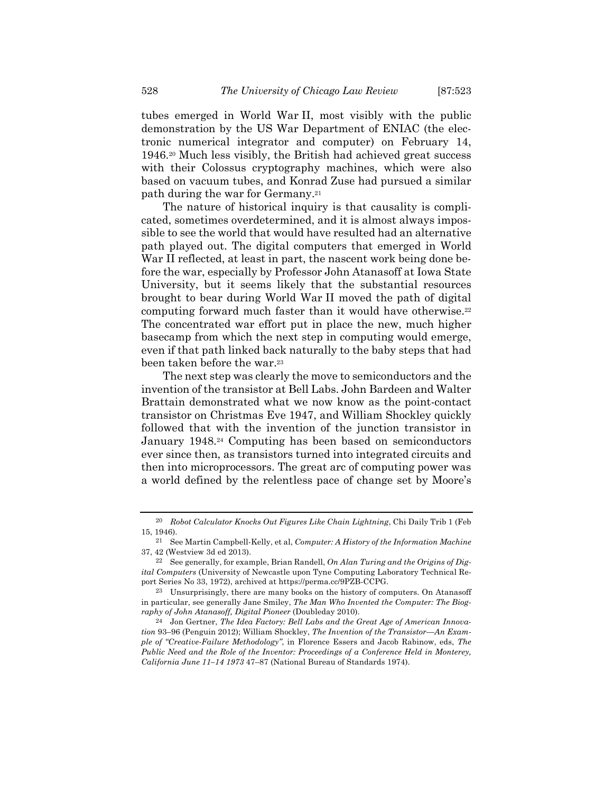tubes emerged in World War II, most visibly with the public demonstration by the US War Department of ENIAC (the electronic numerical integrator and computer) on February 14, 1946.20 Much less visibly, the British had achieved great success with their Colossus cryptography machines, which were also based on vacuum tubes, and Konrad Zuse had pursued a similar path during the war for Germany.21

The nature of historical inquiry is that causality is complicated, sometimes overdetermined, and it is almost always impossible to see the world that would have resulted had an alternative path played out. The digital computers that emerged in World War II reflected, at least in part, the nascent work being done before the war, especially by Professor John Atanasoff at Iowa State University, but it seems likely that the substantial resources brought to bear during World War II moved the path of digital computing forward much faster than it would have otherwise.22 The concentrated war effort put in place the new, much higher basecamp from which the next step in computing would emerge, even if that path linked back naturally to the baby steps that had been taken before the war.<sup>23</sup>

The next step was clearly the move to semiconductors and the invention of the transistor at Bell Labs. John Bardeen and Walter Brattain demonstrated what we now know as the point-contact transistor on Christmas Eve 1947, and William Shockley quickly followed that with the invention of the junction transistor in January 1948.24 Computing has been based on semiconductors ever since then, as transistors turned into integrated circuits and then into microprocessors. The great arc of computing power was a world defined by the relentless pace of change set by Moore's

<sup>20</sup> *Robot Calculator Knocks Out Figures Like Chain Lightning*, Chi Daily Trib 1 (Feb 15, 1946).

<sup>21</sup> See Martin Campbell-Kelly, et al, *Computer: A History of the Information Machine* 37, 42 (Westview 3d ed 2013).

<sup>22</sup> See generally, for example, Brian Randell, *On Alan Turing and the Origins of Digital Computers* (University of Newcastle upon Tyne Computing Laboratory Technical Report Series No 33, 1972), archived at https://perma.cc/9PZB-CCPG.

<sup>23</sup> Unsurprisingly, there are many books on the history of computers. On Atanasoff in particular, see generally Jane Smiley, *The Man Who Invented the Computer: The Biography of John Atanasoff, Digital Pioneer* (Doubleday 2010).

<sup>24</sup> Jon Gertner, *The Idea Factory: Bell Labs and the Great Age of American Innovation* 93–96 (Penguin 2012); William Shockley, *The Invention of the Transistor—An Example of "Creative-Failure Methodology"*, in Florence Essers and Jacob Rabinow, eds, *The Public Need and the Role of the Inventor: Proceedings of a Conference Held in Monterey, California June 11–14 1973* 47–87 (National Bureau of Standards 1974).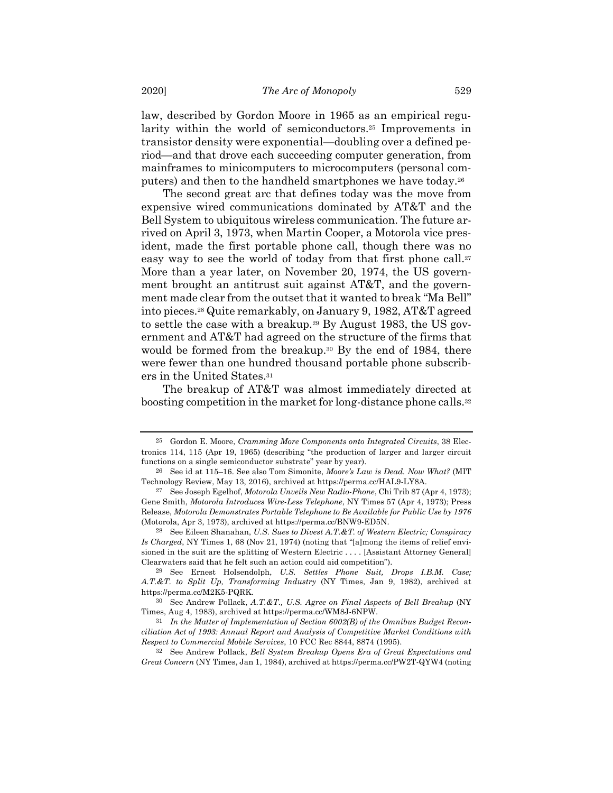law, described by Gordon Moore in 1965 as an empirical regularity within the world of semiconductors.25 Improvements in transistor density were exponential—doubling over a defined period—and that drove each succeeding computer generation, from mainframes to minicomputers to microcomputers (personal computers) and then to the handheld smartphones we have today.26

The second great arc that defines today was the move from expensive wired communications dominated by AT&T and the Bell System to ubiquitous wireless communication. The future arrived on April 3, 1973, when Martin Cooper, a Motorola vice president, made the first portable phone call, though there was no easy way to see the world of today from that first phone call.<sup>27</sup> More than a year later, on November 20, 1974, the US government brought an antitrust suit against AT&T, and the government made clear from the outset that it wanted to break "Ma Bell" into pieces.28 Quite remarkably, on January 9, 1982, AT&T agreed to settle the case with a breakup.29 By August 1983, the US government and AT&T had agreed on the structure of the firms that would be formed from the breakup.<sup>30</sup> By the end of 1984, there were fewer than one hundred thousand portable phone subscribers in the United States.31

The breakup of AT&T was almost immediately directed at boosting competition in the market for long-distance phone calls.32

<sup>25</sup> Gordon E. Moore, *Cramming More Components onto Integrated Circuits*, 38 Electronics 114, 115 (Apr 19, 1965) (describing "the production of larger and larger circuit functions on a single semiconductor substrate" year by year).

<sup>26</sup> See id at 115–16. See also Tom Simonite, *Moore's Law is Dead. Now What?* (MIT Technology Review, May 13, 2016), archived at https://perma.cc/HAL9-LY8A.

<sup>27</sup> See Joseph Egelhof, *Motorola Unveils New Radio-Phone*, Chi Trib 87 (Apr 4, 1973); Gene Smith, *Motorola Introduces Wire-Less Telephone*, NY Times 57 (Apr 4, 1973); Press Release, *Motorola Demonstrates Portable Telephone to Be Available for Public Use by 1976* (Motorola, Apr 3, 1973), archived at https://perma.cc/BNW9-ED5N.

<sup>28</sup> See Eileen Shanahan, *U.S. Sues to Divest A.T.&T. of Western Electric; Conspiracy Is Charged*, NY Times 1, 68 (Nov 21, 1974) (noting that "[a]mong the items of relief envisioned in the suit are the splitting of Western Electric . . . . [Assistant Attorney General] Clearwaters said that he felt such an action could aid competition").

<sup>29</sup> See Ernest Holsendolph, *U.S. Settles Phone Suit, Drops I.B.M. Case; A.T.&T. to Split Up, Transforming Industry* (NY Times, Jan 9, 1982), archived at https://perma.cc/M2K5-PQRK.

<sup>30</sup> See Andrew Pollack, *A.T.&T., U.S. Agree on Final Aspects of Bell Breakup* (NY Times, Aug 4, 1983), archived at https://perma.cc/WM8J-6NPW.

<sup>31</sup> *In the Matter of Implementation of Section 6002(B) of the Omnibus Budget Reconciliation Act of 1993: Annual Report and Analysis of Competitive Market Conditions with Respect to Commercial Mobile Services*, 10 FCC Rec 8844, 8874 (1995).

<sup>32</sup> See Andrew Pollack, *Bell System Breakup Opens Era of Great Expectations and Great Concern* (NY Times, Jan 1, 1984), archived at https://perma.cc/PW2T-QYW4 (noting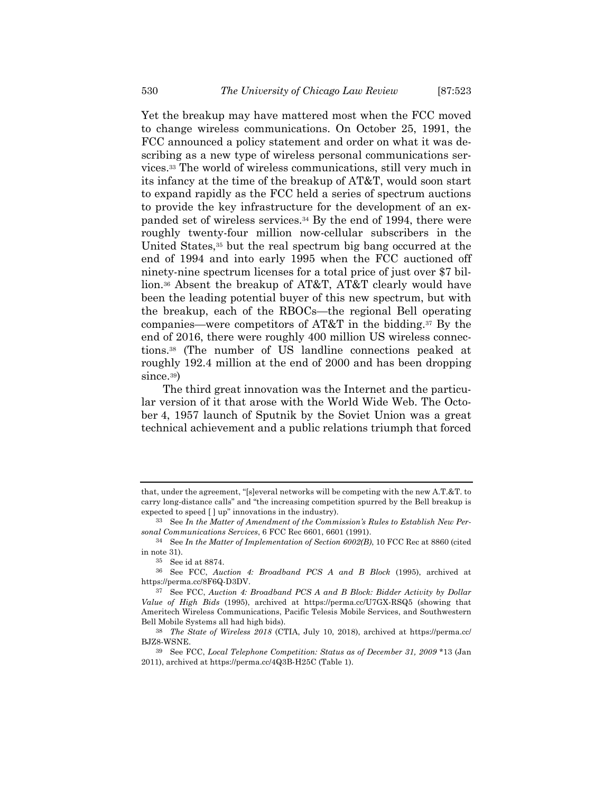Yet the breakup may have mattered most when the FCC moved to change wireless communications. On October 25, 1991, the FCC announced a policy statement and order on what it was describing as a new type of wireless personal communications services.33 The world of wireless communications, still very much in its infancy at the time of the breakup of AT&T, would soon start to expand rapidly as the FCC held a series of spectrum auctions to provide the key infrastructure for the development of an expanded set of wireless services.34 By the end of 1994, there were roughly twenty-four million now-cellular subscribers in the United States,<sup>35</sup> but the real spectrum big bang occurred at the end of 1994 and into early 1995 when the FCC auctioned off ninety-nine spectrum licenses for a total price of just over \$7 billion.36 Absent the breakup of AT&T, AT&T clearly would have been the leading potential buyer of this new spectrum, but with the breakup, each of the RBOCs—the regional Bell operating companies—were competitors of AT&T in the bidding.37 By the end of 2016, there were roughly 400 million US wireless connections.38 (The number of US landline connections peaked at roughly 192.4 million at the end of 2000 and has been dropping since.<sup>39</sup>)

The third great innovation was the Internet and the particular version of it that arose with the World Wide Web. The October 4, 1957 launch of Sputnik by the Soviet Union was a great technical achievement and a public relations triumph that forced

that, under the agreement, "[s]everal networks will be competing with the new A.T.&T. to carry long-distance calls" and "the increasing competition spurred by the Bell breakup is expected to speed [ ] up" innovations in the industry).

<sup>33</sup> See *In the Matter of Amendment of the Commission's Rules to Establish New Personal Communications Services*, 6 FCC Rec 6601, 6601 (1991).

<sup>34</sup> See *In the Matter of Implementation of Section 6002(B)*, 10 FCC Rec at 8860 (cited in note 31).

<sup>35</sup> See id at 8874.

<sup>36</sup> See FCC, *Auction 4: Broadband PCS A and B Block* (1995), archived at https://perma.cc/8F6Q-D3DV.

<sup>37</sup> See FCC, *Auction 4: Broadband PCS A and B Block: Bidder Activity by Dollar Value of High Bids* (1995), archived at https://perma.cc/U7GX-RSQ5 (showing that Ameritech Wireless Communications, Pacific Telesis Mobile Services, and Southwestern Bell Mobile Systems all had high bids).

<sup>38</sup> *The State of Wireless 2018* (CTIA, July 10, 2018), archived at https://perma.cc/ BJZ8-WSNE.

<sup>39</sup> See FCC, *Local Telephone Competition: Status as of December 31, 2009* \*13 (Jan 2011), archived at https://perma.cc/4Q3B-H25C (Table 1).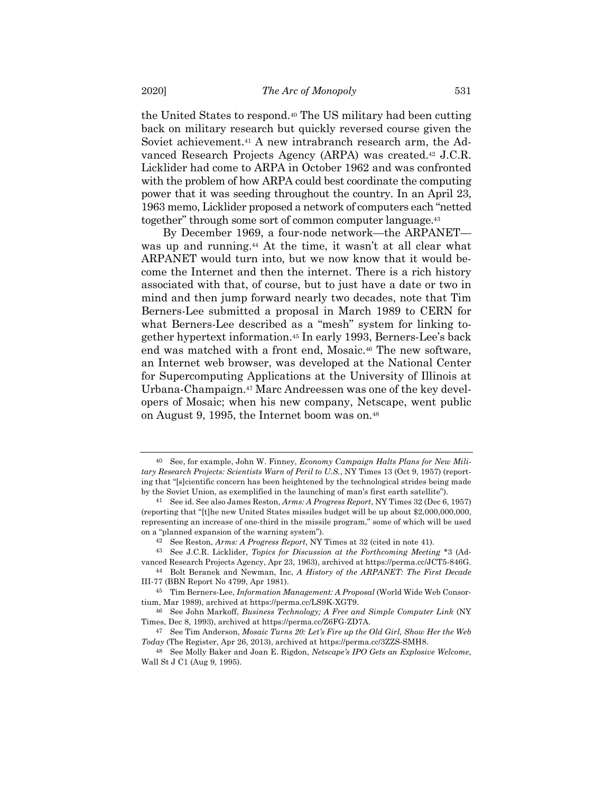the United States to respond.40 The US military had been cutting back on military research but quickly reversed course given the Soviet achievement.<sup>41</sup> A new intrabranch research arm, the Advanced Research Projects Agency (ARPA) was created.42 J.C.R. Licklider had come to ARPA in October 1962 and was confronted with the problem of how ARPA could best coordinate the computing power that it was seeding throughout the country. In an April 23, 1963 memo, Licklider proposed a network of computers each "netted together" through some sort of common computer language.43

By December 1969, a four-node network—the ARPANET was up and running.<sup>44</sup> At the time, it wasn't at all clear what ARPANET would turn into, but we now know that it would become the Internet and then the internet. There is a rich history associated with that, of course, but to just have a date or two in mind and then jump forward nearly two decades, note that Tim Berners-Lee submitted a proposal in March 1989 to CERN for what Berners-Lee described as a "mesh" system for linking together hypertext information.45 In early 1993, Berners-Lee's back end was matched with a front end, Mosaic.46 The new software, an Internet web browser, was developed at the National Center for Supercomputing Applications at the University of Illinois at Urbana-Champaign.47 Marc Andreessen was one of the key developers of Mosaic; when his new company, Netscape, went public on August 9, 1995, the Internet boom was on.48

<sup>40</sup> See, for example, John W. Finney, *Economy Campaign Halts Plans for New Military Research Projects: Scientists Warn of Peril to U.S.*, NY Times 13 (Oct 9, 1957) (reporting that "[s]cientific concern has been heightened by the technological strides being made by the Soviet Union, as exemplified in the launching of man's first earth satellite").

<sup>41</sup> See id. See also James Reston, *Arms: A Progress Report*, NY Times 32 (Dec 6, 1957) (reporting that "[t]he new United States missiles budget will be up about \$2,000,000,000, representing an increase of one-third in the missile program," some of which will be used on a "planned expansion of the warning system").

<sup>42</sup> See Reston, *Arms: A Progress Report*, NY Times at 32 (cited in note 41).

<sup>43</sup> See J.C.R. Licklider, *Topics for Discussion at the Forthcoming Meeting* \*3 (Ad-

vanced Research Projects Agency, Apr 23, 1963), archived at https://perma.cc/JCT5-846G. 44 Bolt Beranek and Newman, Inc, *A History of the ARPANET: The First Decade*

III-77 (BBN Report No 4799, Apr 1981).

<sup>45</sup> Tim Berners-Lee, *Information Management: A Proposal* (World Wide Web Consortium, Mar 1989), archived at https://perma.cc/LS9K-XGT9.

<sup>46</sup> See John Markoff, *Business Technology; A Free and Simple Computer Link* (NY Times, Dec 8, 1993), archived at https://perma.cc/Z6FG-ZD7A.

<sup>47</sup> See Tim Anderson, *Mosaic Turns 20: Let's Fire up the Old Girl, Show Her the Web Today* (The Register, Apr 26, 2013), archived at https://perma.cc/3ZZS-SMH8.

<sup>48</sup> See Molly Baker and Joan E. Rigdon, *Netscape's IPO Gets an Explosive Welcome*, Wall St J C1 (Aug 9, 1995).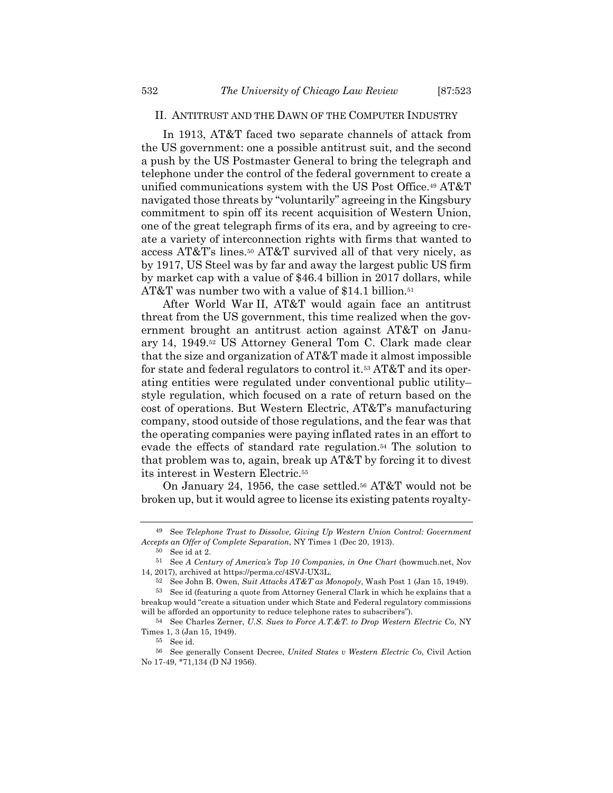#### II. ANTITRUST AND THE DAWN OF THE COMPUTER INDUSTRY

In 1913, AT&T faced two separate channels of attack from the US government: one a possible antitrust suit, and the second a push by the US Postmaster General to bring the telegraph and telephone under the control of the federal government to create a unified communications system with the US Post Office.49 AT&T navigated those threats by "voluntarily" agreeing in the Kingsbury commitment to spin off its recent acquisition of Western Union, one of the great telegraph firms of its era, and by agreeing to create a variety of interconnection rights with firms that wanted to access AT&T's lines.50 AT&T survived all of that very nicely, as by 1917, US Steel was by far and away the largest public US firm by market cap with a value of \$46.4 billion in 2017 dollars, while AT&T was number two with a value of \$14.1 billion.<sup>51</sup>

After World War II, AT&T would again face an antitrust threat from the US government, this time realized when the government brought an antitrust action against AT&T on January 14, 1949.52 US Attorney General Tom C. Clark made clear that the size and organization of AT&T made it almost impossible for state and federal regulators to control it.53 AT&T and its operating entities were regulated under conventional public utility– style regulation, which focused on a rate of return based on the cost of operations. But Western Electric, AT&T's manufacturing company, stood outside of those regulations, and the fear was that the operating companies were paying inflated rates in an effort to evade the effects of standard rate regulation.54 The solution to that problem was to, again, break up AT&T by forcing it to divest its interest in Western Electric.55

On January 24, 1956, the case settled.<sup>56</sup> AT&T would not be broken up, but it would agree to license its existing patents royalty-

<sup>49</sup> See *Telephone Trust to Dissolve, Giving Up Western Union Control: Government Accepts an Offer of Complete Separation*, NY Times 1 (Dec 20, 1913).

<sup>50</sup> See id at 2.

<sup>51</sup> See *A Century of America's Top 10 Companies, in One Chart* (howmuch.net, Nov 14, 2017), archived at https://perma.cc/4SVJ-UX3L.

<sup>52</sup> See John B. Owen, *Suit Attacks AT&T as Monopoly*, Wash Post 1 (Jan 15, 1949).

<sup>53</sup> See id (featuring a quote from Attorney General Clark in which he explains that a breakup would "create a situation under which State and Federal regulatory commissions will be afforded an opportunity to reduce telephone rates to subscribers").

<sup>54</sup> See Charles Zerner, *U.S. Sues to Force A.T.&T. to Drop Western Electric Co*, NY Times 1, 3 (Jan 15, 1949).

<sup>55</sup> See id.

<sup>56</sup> See generally Consent Decree, *United States v Western Electric Co*, Civil Action No 17-49, \*71,134 (D NJ 1956).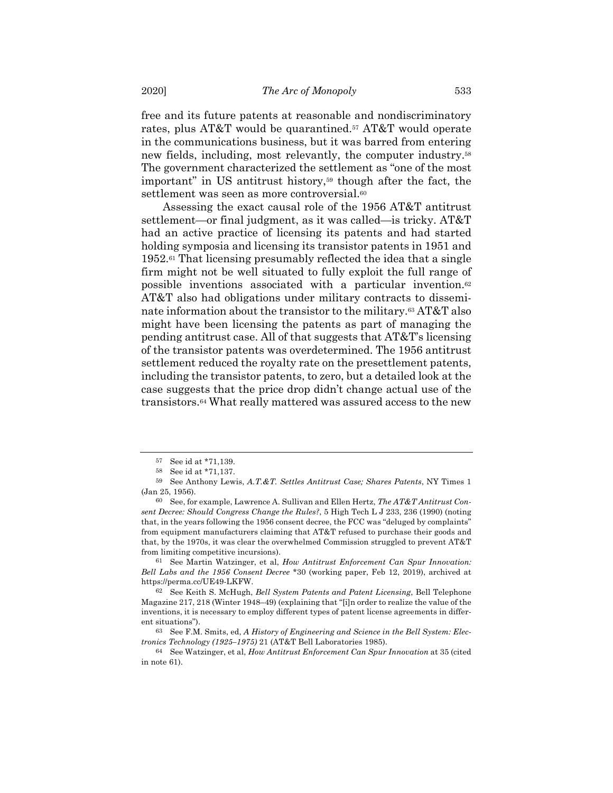free and its future patents at reasonable and nondiscriminatory rates, plus AT&T would be quarantined.57 AT&T would operate in the communications business, but it was barred from entering new fields, including, most relevantly, the computer industry.58 The government characterized the settlement as "one of the most important" in US antitrust history,<sup>59</sup> though after the fact, the settlement was seen as more controversial.<sup>60</sup>

Assessing the exact causal role of the 1956 AT&T antitrust settlement—or final judgment, as it was called—is tricky. AT&T had an active practice of licensing its patents and had started holding symposia and licensing its transistor patents in 1951 and 1952.61 That licensing presumably reflected the idea that a single firm might not be well situated to fully exploit the full range of possible inventions associated with a particular invention.62 AT&T also had obligations under military contracts to disseminate information about the transistor to the military.63 AT&T also might have been licensing the patents as part of managing the pending antitrust case. All of that suggests that AT&T's licensing of the transistor patents was overdetermined. The 1956 antitrust settlement reduced the royalty rate on the presettlement patents, including the transistor patents, to zero, but a detailed look at the case suggests that the price drop didn't change actual use of the transistors.64 What really mattered was assured access to the new

<sup>57</sup> See id at \*71,139.

<sup>58</sup> See id at \*71,137.

<sup>59</sup> See Anthony Lewis, *A.T.&T. Settles Antitrust Case; Shares Patents*, NY Times 1 (Jan 25, 1956).

<sup>60</sup> See, for example, Lawrence A. Sullivan and Ellen Hertz, *The AT&T Antitrust Consent Decree: Should Congress Change the Rules?*, 5 High Tech L J 233, 236 (1990) (noting that, in the years following the 1956 consent decree, the FCC was "deluged by complaints" from equipment manufacturers claiming that AT&T refused to purchase their goods and that, by the 1970s, it was clear the overwhelmed Commission struggled to prevent AT&T from limiting competitive incursions).

<sup>61</sup> See Martin Watzinger, et al, *How Antitrust Enforcement Can Spur Innovation: Bell Labs and the 1956 Consent Decree* \*30 (working paper, Feb 12, 2019), archived at https://perma.cc/UE49-LKFW.

<sup>62</sup> See Keith S. McHugh, *Bell System Patents and Patent Licensing*, Bell Telephone Magazine 217, 218 (Winter 1948–49) (explaining that "[i]n order to realize the value of the inventions, it is necessary to employ different types of patent license agreements in different situations").

<sup>63</sup> See F.M. Smits, ed, *A History of Engineering and Science in the Bell System: Electronics Technology (1925–1975)* 21 (AT&T Bell Laboratories 1985).

<sup>64</sup> See Watzinger, et al, *How Antitrust Enforcement Can Spur Innovation* at 35 (cited in note 61).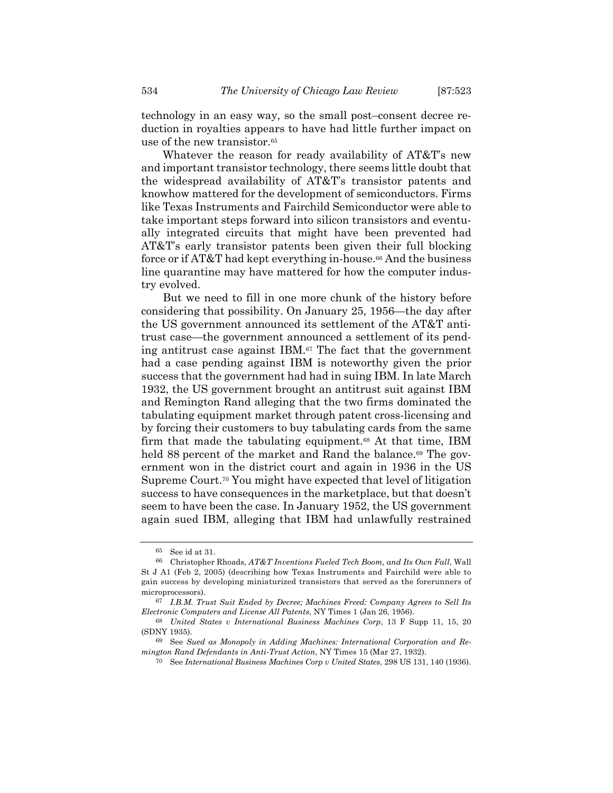technology in an easy way, so the small post–consent decree reduction in royalties appears to have had little further impact on use of the new transistor.<sup>65</sup>

Whatever the reason for ready availability of AT&T's new and important transistor technology, there seems little doubt that the widespread availability of AT&T's transistor patents and knowhow mattered for the development of semiconductors. Firms like Texas Instruments and Fairchild Semiconductor were able to take important steps forward into silicon transistors and eventually integrated circuits that might have been prevented had AT&T's early transistor patents been given their full blocking force or if AT&T had kept everything in-house.66 And the business line quarantine may have mattered for how the computer industry evolved.

But we need to fill in one more chunk of the history before considering that possibility. On January 25, 1956—the day after the US government announced its settlement of the AT&T antitrust case—the government announced a settlement of its pending antitrust case against IBM.67 The fact that the government had a case pending against IBM is noteworthy given the prior success that the government had had in suing IBM. In late March 1932, the US government brought an antitrust suit against IBM and Remington Rand alleging that the two firms dominated the tabulating equipment market through patent cross-licensing and by forcing their customers to buy tabulating cards from the same firm that made the tabulating equipment.68 At that time, IBM held 88 percent of the market and Rand the balance.<sup>69</sup> The government won in the district court and again in 1936 in the US Supreme Court.70 You might have expected that level of litigation success to have consequences in the marketplace, but that doesn't seem to have been the case. In January 1952, the US government again sued IBM, alleging that IBM had unlawfully restrained

<sup>65</sup> See id at 31.

<sup>66</sup> Christopher Rhoads, *AT&T Inventions Fueled Tech Boom, and Its Own Fall*, Wall St J A1 (Feb 2, 2005) (describing how Texas Instruments and Fairchild were able to gain success by developing miniaturized transistors that served as the forerunners of microprocessors).

<sup>67</sup> *I.B.M. Trust Suit Ended by Decree; Machines Freed: Company Agrees to Sell Its Electronic Computers and License All Patents*, NY Times 1 (Jan 26, 1956).

<sup>68</sup> *United States v International Business Machines Corp*, 13 F Supp 11, 15, 20 (SDNY 1935).

<sup>69</sup> See *Sued as Monopoly in Adding Machines: International Corporation and Remington Rand Defendants in Anti-Trust Action*, NY Times 15 (Mar 27, 1932).

<sup>70</sup> See *International Business Machines Corp v United States*, 298 US 131, 140 (1936).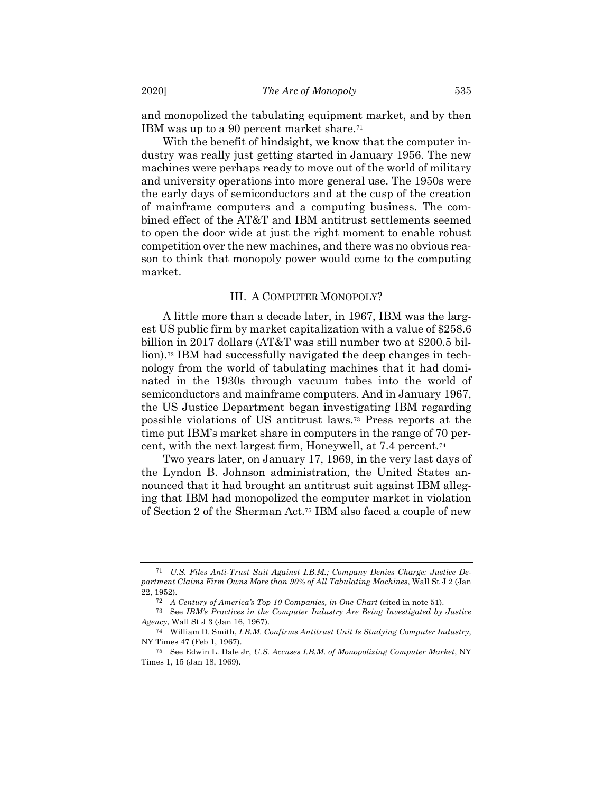and monopolized the tabulating equipment market, and by then IBM was up to a 90 percent market share.71

With the benefit of hindsight, we know that the computer industry was really just getting started in January 1956. The new machines were perhaps ready to move out of the world of military and university operations into more general use. The 1950s were the early days of semiconductors and at the cusp of the creation of mainframe computers and a computing business. The combined effect of the AT&T and IBM antitrust settlements seemed to open the door wide at just the right moment to enable robust competition over the new machines, and there was no obvious reason to think that monopoly power would come to the computing market.

#### III. A COMPUTER MONOPOLY?

A little more than a decade later, in 1967, IBM was the largest US public firm by market capitalization with a value of \$258.6 billion in 2017 dollars (AT&T was still number two at \$200.5 billion).72 IBM had successfully navigated the deep changes in technology from the world of tabulating machines that it had dominated in the 1930s through vacuum tubes into the world of semiconductors and mainframe computers. And in January 1967, the US Justice Department began investigating IBM regarding possible violations of US antitrust laws.73 Press reports at the time put IBM's market share in computers in the range of 70 percent, with the next largest firm, Honeywell, at 7.4 percent.74

Two years later, on January 17, 1969, in the very last days of the Lyndon B. Johnson administration, the United States announced that it had brought an antitrust suit against IBM alleging that IBM had monopolized the computer market in violation of Section 2 of the Sherman Act.75 IBM also faced a couple of new

<sup>71</sup> *U.S. Files Anti-Trust Suit Against I.B.M.; Company Denies Charge: Justice Department Claims Firm Owns More than 90% of All Tabulating Machines*, Wall St J 2 (Jan 22, 1952).

<sup>72</sup> *A Century of America's Top 10 Companies, in One Chart* (cited in note 51).

<sup>73</sup> See *IBM's Practices in the Computer Industry Are Being Investigated by Justice Agency*, Wall St J 3 (Jan 16, 1967).

<sup>74</sup> William D. Smith, *I.B.M. Confirms Antitrust Unit Is Studying Computer Industry*, NY Times 47 (Feb 1, 1967).

<sup>75</sup> See Edwin L. Dale Jr, *U.S. Accuses I.B.M. of Monopolizing Computer Market*, NY Times 1, 15 (Jan 18, 1969).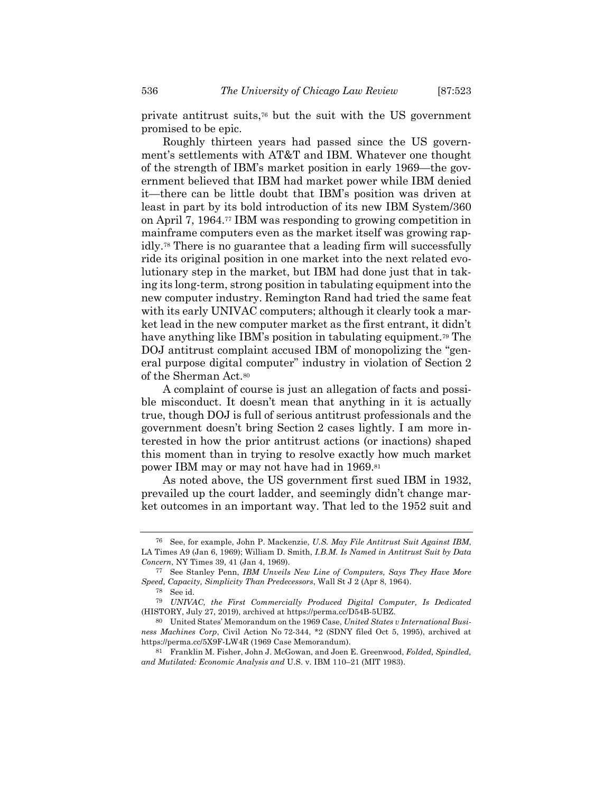private antitrust suits,76 but the suit with the US government promised to be epic.

Roughly thirteen years had passed since the US government's settlements with AT&T and IBM. Whatever one thought of the strength of IBM's market position in early 1969—the government believed that IBM had market power while IBM denied it—there can be little doubt that IBM's position was driven at least in part by its bold introduction of its new IBM System/360 on April 7, 1964.77 IBM was responding to growing competition in mainframe computers even as the market itself was growing rapidly.78 There is no guarantee that a leading firm will successfully ride its original position in one market into the next related evolutionary step in the market, but IBM had done just that in taking its long-term, strong position in tabulating equipment into the new computer industry. Remington Rand had tried the same feat with its early UNIVAC computers; although it clearly took a market lead in the new computer market as the first entrant, it didn't have anything like IBM's position in tabulating equipment.<sup>79</sup> The DOJ antitrust complaint accused IBM of monopolizing the "general purpose digital computer" industry in violation of Section 2 of the Sherman Act.80

A complaint of course is just an allegation of facts and possible misconduct. It doesn't mean that anything in it is actually true, though DOJ is full of serious antitrust professionals and the government doesn't bring Section 2 cases lightly. I am more interested in how the prior antitrust actions (or inactions) shaped this moment than in trying to resolve exactly how much market power IBM may or may not have had in 1969.81

As noted above, the US government first sued IBM in 1932, prevailed up the court ladder, and seemingly didn't change market outcomes in an important way. That led to the 1952 suit and

<sup>76</sup> See, for example, John P. Mackenzie, *U.S. May File Antitrust Suit Against IBM*, LA Times A9 (Jan 6, 1969); William D. Smith, *I.B.M. Is Named in Antitrust Suit by Data Concern*, NY Times 39, 41 (Jan 4, 1969).

<sup>77</sup> See Stanley Penn, *IBM Unveils New Line of Computers, Says They Have More Speed, Capacity, Simplicity Than Predecessors*, Wall St J 2 (Apr 8, 1964).

<sup>78</sup> See id.

<sup>79</sup> *UNIVAC, the First Commercially Produced Digital Computer, Is Dedicated* (HISTORY, July 27, 2019), archived at https://perma.cc/D54B-5UBZ.

<sup>80</sup> United States' Memorandum on the 1969 Case, *United States v International Business Machines Corp*, Civil Action No 72-344, \*2 (SDNY filed Oct 5, 1995), archived at https://perma.cc/5X9F-LW4R (1969 Case Memorandum).

<sup>81</sup> Franklin M. Fisher, John J. McGowan, and Joen E. Greenwood, *Folded, Spindled, and Mutilated: Economic Analysis and* U.S. v. IBM 110–21 (MIT 1983).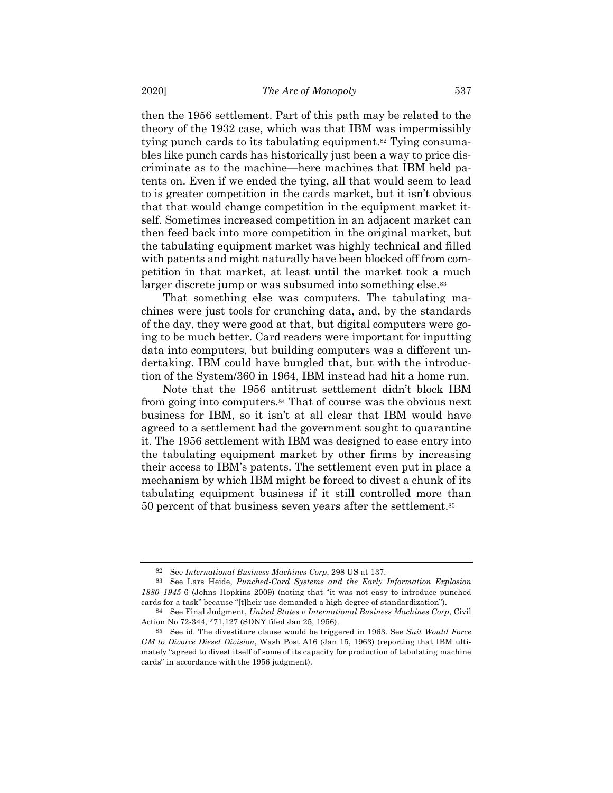then the 1956 settlement. Part of this path may be related to the theory of the 1932 case, which was that IBM was impermissibly tying punch cards to its tabulating equipment.<sup>82</sup> Tying consumables like punch cards has historically just been a way to price discriminate as to the machine—here machines that IBM held patents on. Even if we ended the tying, all that would seem to lead to is greater competition in the cards market, but it isn't obvious that that would change competition in the equipment market itself. Sometimes increased competition in an adjacent market can then feed back into more competition in the original market, but the tabulating equipment market was highly technical and filled with patents and might naturally have been blocked off from competition in that market, at least until the market took a much larger discrete jump or was subsumed into something else.<sup>83</sup>

That something else was computers. The tabulating machines were just tools for crunching data, and, by the standards of the day, they were good at that, but digital computers were going to be much better. Card readers were important for inputting data into computers, but building computers was a different undertaking. IBM could have bungled that, but with the introduction of the System/360 in 1964, IBM instead had hit a home run.

Note that the 1956 antitrust settlement didn't block IBM from going into computers.84 That of course was the obvious next business for IBM, so it isn't at all clear that IBM would have agreed to a settlement had the government sought to quarantine it. The 1956 settlement with IBM was designed to ease entry into the tabulating equipment market by other firms by increasing their access to IBM's patents. The settlement even put in place a mechanism by which IBM might be forced to divest a chunk of its tabulating equipment business if it still controlled more than 50 percent of that business seven years after the settlement.85

<sup>82</sup> See *International Business Machines Corp*, 298 US at 137.

<sup>83</sup> See Lars Heide, *Punched-Card Systems and the Early Information Explosion 1880–1945* 6 (Johns Hopkins 2009) (noting that "it was not easy to introduce punched cards for a task" because "[t]heir use demanded a high degree of standardization").

<sup>84</sup> See Final Judgment, *United States v International Business Machines Corp*, Civil Action No 72-344, \*71,127 (SDNY filed Jan 25, 1956).

<sup>85</sup> See id. The divestiture clause would be triggered in 1963. See *Suit Would Force GM to Divorce Diesel Division*, Wash Post A16 (Jan 15, 1963) (reporting that IBM ultimately "agreed to divest itself of some of its capacity for production of tabulating machine cards" in accordance with the 1956 judgment).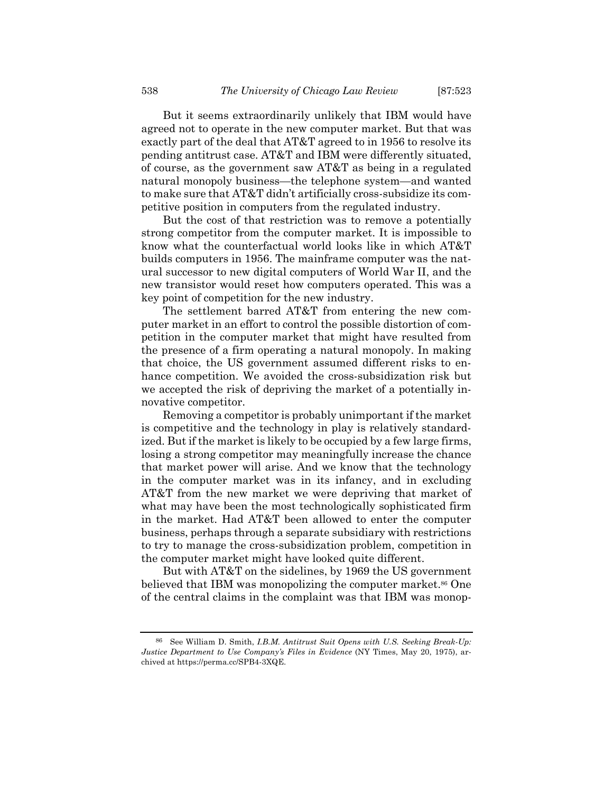But it seems extraordinarily unlikely that IBM would have agreed not to operate in the new computer market. But that was exactly part of the deal that AT&T agreed to in 1956 to resolve its pending antitrust case. AT&T and IBM were differently situated, of course, as the government saw AT&T as being in a regulated natural monopoly business—the telephone system—and wanted to make sure that AT&T didn't artificially cross-subsidize its competitive position in computers from the regulated industry.

But the cost of that restriction was to remove a potentially strong competitor from the computer market. It is impossible to know what the counterfactual world looks like in which AT&T builds computers in 1956. The mainframe computer was the natural successor to new digital computers of World War II, and the new transistor would reset how computers operated. This was a key point of competition for the new industry.

The settlement barred AT&T from entering the new computer market in an effort to control the possible distortion of competition in the computer market that might have resulted from the presence of a firm operating a natural monopoly. In making that choice, the US government assumed different risks to enhance competition. We avoided the cross-subsidization risk but we accepted the risk of depriving the market of a potentially innovative competitor.

Removing a competitor is probably unimportant if the market is competitive and the technology in play is relatively standardized. But if the market is likely to be occupied by a few large firms, losing a strong competitor may meaningfully increase the chance that market power will arise. And we know that the technology in the computer market was in its infancy, and in excluding AT&T from the new market we were depriving that market of what may have been the most technologically sophisticated firm in the market. Had AT&T been allowed to enter the computer business, perhaps through a separate subsidiary with restrictions to try to manage the cross-subsidization problem, competition in the computer market might have looked quite different.

But with AT&T on the sidelines, by 1969 the US government believed that IBM was monopolizing the computer market.<sup>86</sup> One of the central claims in the complaint was that IBM was monop-

<sup>86</sup> See William D. Smith, *I.B.M. Antitrust Suit Opens with U.S. Seeking Break-Up: Justice Department to Use Company's Files in Evidence* (NY Times, May 20, 1975), archived at https://perma.cc/SPB4-3XQE.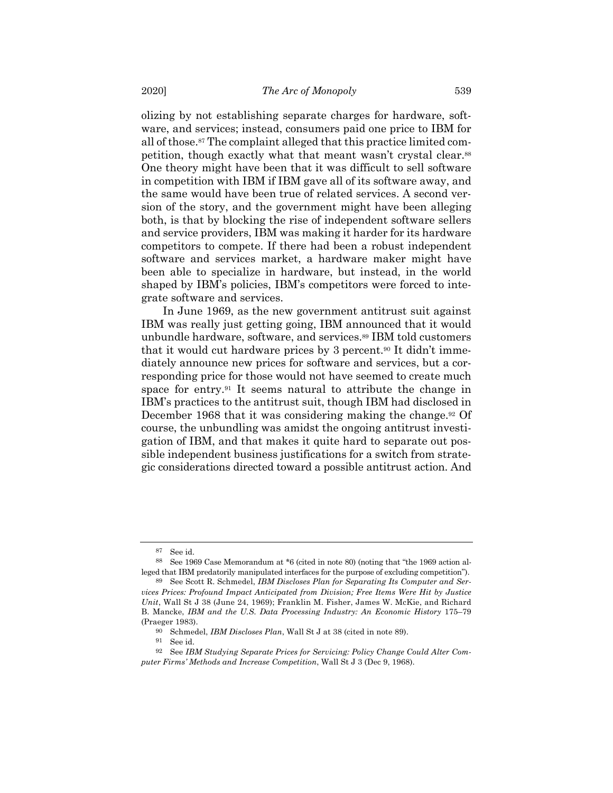olizing by not establishing separate charges for hardware, software, and services; instead, consumers paid one price to IBM for all of those.87 The complaint alleged that this practice limited competition, though exactly what that meant wasn't crystal clear.88 One theory might have been that it was difficult to sell software in competition with IBM if IBM gave all of its software away, and the same would have been true of related services. A second version of the story, and the government might have been alleging both, is that by blocking the rise of independent software sellers and service providers, IBM was making it harder for its hardware competitors to compete. If there had been a robust independent software and services market, a hardware maker might have been able to specialize in hardware, but instead, in the world shaped by IBM's policies, IBM's competitors were forced to integrate software and services.

In June 1969, as the new government antitrust suit against IBM was really just getting going, IBM announced that it would unbundle hardware, software, and services.89 IBM told customers that it would cut hardware prices by 3 percent.90 It didn't immediately announce new prices for software and services, but a corresponding price for those would not have seemed to create much space for entry.91 It seems natural to attribute the change in IBM's practices to the antitrust suit, though IBM had disclosed in December 1968 that it was considering making the change.<sup>92</sup> Of course, the unbundling was amidst the ongoing antitrust investigation of IBM, and that makes it quite hard to separate out possible independent business justifications for a switch from strategic considerations directed toward a possible antitrust action. And

<sup>87</sup> See id.

<sup>88</sup> See 1969 Case Memorandum at \*6 (cited in note 80) (noting that "the 1969 action alleged that IBM predatorily manipulated interfaces for the purpose of excluding competition").

<sup>89</sup> See Scott R. Schmedel, *IBM Discloses Plan for Separating Its Computer and Services Prices: Profound Impact Anticipated from Division; Free Items Were Hit by Justice Unit*, Wall St J 38 (June 24, 1969); Franklin M. Fisher, James W. McKie, and Richard B. Mancke, *IBM and the U.S. Data Processing Industry: An Economic History* 175–79 (Praeger 1983).

<sup>90</sup> Schmedel, *IBM Discloses Plan*, Wall St J at 38 (cited in note 89).

<sup>91</sup> See id.

<sup>92</sup> See *IBM Studying Separate Prices for Servicing: Policy Change Could Alter Computer Firms' Methods and Increase Competition*, Wall St J 3 (Dec 9, 1968).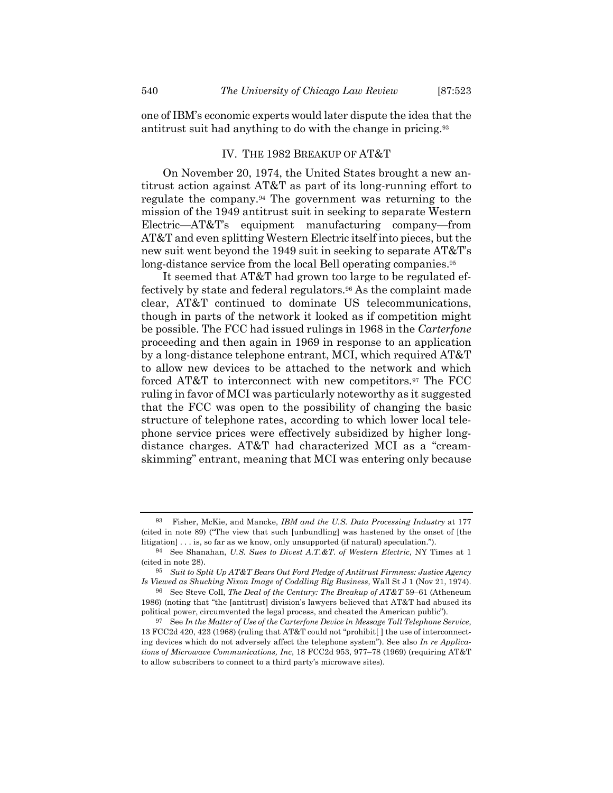one of IBM's economic experts would later dispute the idea that the antitrust suit had anything to do with the change in pricing.93

#### IV. THE 1982 BREAKUP OF AT&T

On November 20, 1974, the United States brought a new antitrust action against AT&T as part of its long-running effort to regulate the company.94 The government was returning to the mission of the 1949 antitrust suit in seeking to separate Western Electric—AT&T's equipment manufacturing company—from AT&T and even splitting Western Electric itself into pieces, but the new suit went beyond the 1949 suit in seeking to separate AT&T's long-distance service from the local Bell operating companies.<sup>95</sup>

It seemed that AT&T had grown too large to be regulated effectively by state and federal regulators.96 As the complaint made clear, AT&T continued to dominate US telecommunications, though in parts of the network it looked as if competition might be possible. The FCC had issued rulings in 1968 in the *Carterfone* proceeding and then again in 1969 in response to an application by a long-distance telephone entrant, MCI, which required AT&T to allow new devices to be attached to the network and which forced AT&T to interconnect with new competitors.97 The FCC ruling in favor of MCI was particularly noteworthy as it suggested that the FCC was open to the possibility of changing the basic structure of telephone rates, according to which lower local telephone service prices were effectively subsidized by higher longdistance charges. AT&T had characterized MCI as a "creamskimming" entrant, meaning that MCI was entering only because

<sup>93</sup> Fisher, McKie, and Mancke, *IBM and the U.S. Data Processing Industry* at 177 (cited in note 89) ("The view that such [unbundling] was hastened by the onset of [the litigation] . . . is, so far as we know, only unsupported (if natural) speculation.").

<sup>94</sup> See Shanahan, *U.S. Sues to Divest A.T.&T. of Western Electric*, NY Times at 1 (cited in note 28).

<sup>95</sup> *Suit to Split Up AT&T Bears Out Ford Pledge of Antitrust Firmness: Justice Agency Is Viewed as Shucking Nixon Image of Coddling Big Business*, Wall St J 1 (Nov 21, 1974).

<sup>96</sup> See Steve Coll, *The Deal of the Century: The Breakup of AT&T* 59–61 (Atheneum 1986) (noting that "the [antitrust] division's lawyers believed that AT&T had abused its political power, circumvented the legal process, and cheated the American public").

<sup>97</sup> See *In the Matter of Use of the Carterfone Device in Message Toll Telephone Service*, 13 FCC2d 420, 423 (1968) (ruling that AT&T could not "prohibit[ ] the use of interconnecting devices which do not adversely affect the telephone system"). See also *In re Applications of Microwave Communications, Inc*, 18 FCC2d 953, 977–78 (1969) (requiring AT&T to allow subscribers to connect to a third party's microwave sites).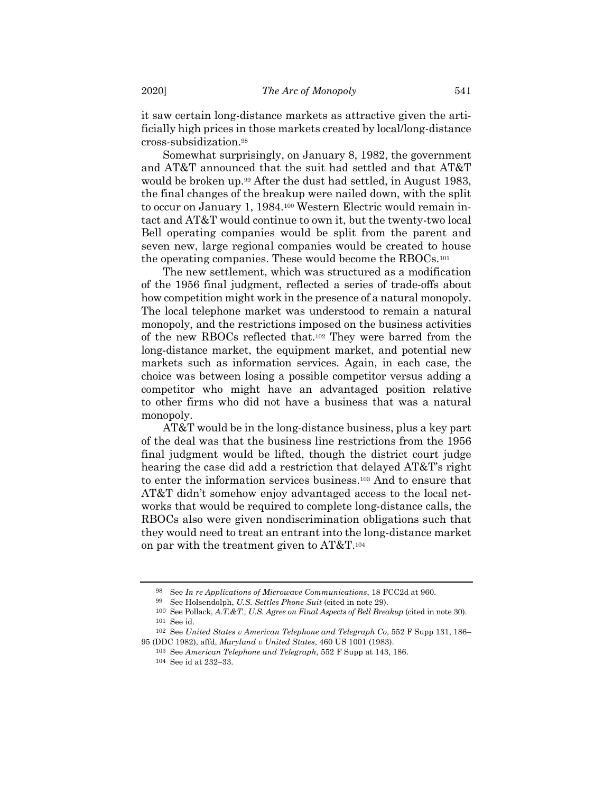it saw certain long-distance markets as attractive given the artificially high prices in those markets created by local/long-distance cross-subsidization.98

Somewhat surprisingly, on January 8, 1982, the government and AT&T announced that the suit had settled and that AT&T would be broken up.<sup>99</sup> After the dust had settled, in August 1983, the final changes of the breakup were nailed down, with the split to occur on January 1, 1984.100 Western Electric would remain intact and AT&T would continue to own it, but the twenty-two local Bell operating companies would be split from the parent and seven new, large regional companies would be created to house the operating companies. These would become the RBOCs.101

The new settlement, which was structured as a modification of the 1956 final judgment, reflected a series of trade-offs about how competition might work in the presence of a natural monopoly. The local telephone market was understood to remain a natural monopoly, and the restrictions imposed on the business activities of the new RBOCs reflected that.102 They were barred from the long-distance market, the equipment market, and potential new markets such as information services. Again, in each case, the choice was between losing a possible competitor versus adding a competitor who might have an advantaged position relative to other firms who did not have a business that was a natural monopoly.

AT&T would be in the long-distance business, plus a key part of the deal was that the business line restrictions from the 1956 final judgment would be lifted, though the district court judge hearing the case did add a restriction that delayed AT&T's right to enter the information services business.103 And to ensure that AT&T didn't somehow enjoy advantaged access to the local networks that would be required to complete long-distance calls, the RBOCs also were given nondiscrimination obligations such that they would need to treat an entrant into the long-distance market on par with the treatment given to AT&T.104

<sup>98</sup> See *In re Applications of Microwave Communications*, 18 FCC2d at 960.

<sup>99</sup> See Holsendolph, *U.S. Settles Phone Suit* (cited in note 29). 100 See Pollack, *A.T.&T., U.S. Agree on Final Aspects of Bell Breakup* (cited in note 30). 101 See id.

<sup>102</sup> See *United States v American Telephone and Telegraph Co*, 552 F Supp 131, 186– 95 (DDC 1982), affd, *Maryland v United States*, 460 US 1001 (1983).

<sup>103</sup> See *American Telephone and Telegraph*, 552 F Supp at 143, 186. 104 See id at 232–33.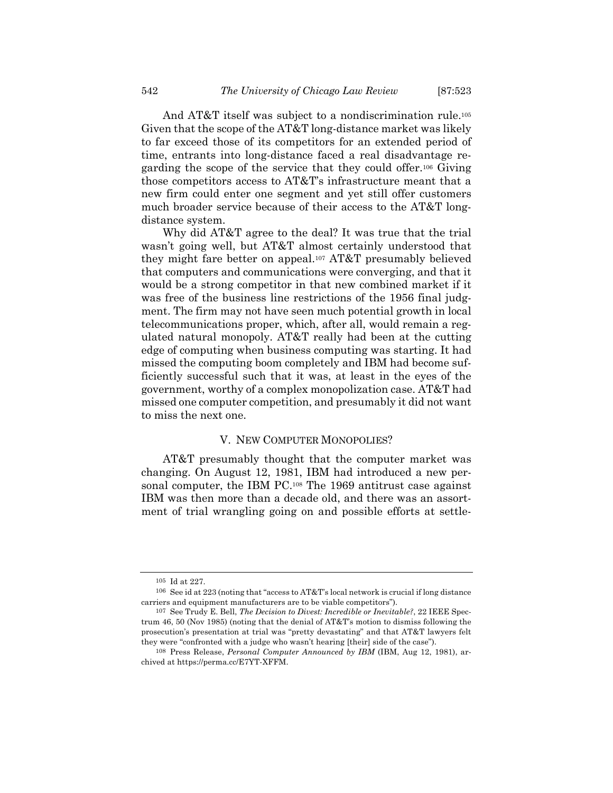And AT&T itself was subject to a nondiscrimination rule.<sup>105</sup> Given that the scope of the AT&T long-distance market was likely to far exceed those of its competitors for an extended period of time, entrants into long-distance faced a real disadvantage regarding the scope of the service that they could offer.106 Giving those competitors access to AT&T's infrastructure meant that a new firm could enter one segment and yet still offer customers much broader service because of their access to the AT&T longdistance system.

Why did AT&T agree to the deal? It was true that the trial wasn't going well, but AT&T almost certainly understood that they might fare better on appeal.107 AT&T presumably believed that computers and communications were converging, and that it would be a strong competitor in that new combined market if it was free of the business line restrictions of the 1956 final judgment. The firm may not have seen much potential growth in local telecommunications proper, which, after all, would remain a regulated natural monopoly. AT&T really had been at the cutting edge of computing when business computing was starting. It had missed the computing boom completely and IBM had become sufficiently successful such that it was, at least in the eyes of the government, worthy of a complex monopolization case. AT&T had missed one computer competition, and presumably it did not want to miss the next one.

#### V. NEW COMPUTER MONOPOLIES?

AT&T presumably thought that the computer market was changing. On August 12, 1981, IBM had introduced a new personal computer, the IBM PC.<sup>108</sup> The 1969 antitrust case against IBM was then more than a decade old, and there was an assortment of trial wrangling going on and possible efforts at settle-

<sup>105</sup> Id at 227.

<sup>106</sup> See id at 223 (noting that "access to AT&T's local network is crucial if long distance carriers and equipment manufacturers are to be viable competitors").

<sup>107</sup> See Trudy E. Bell, *The Decision to Divest: Incredible or Inevitable?*, 22 IEEE Spectrum 46, 50 (Nov 1985) (noting that the denial of AT&T's motion to dismiss following the prosecution's presentation at trial was "pretty devastating" and that AT&T lawyers felt they were "confronted with a judge who wasn't hearing [their] side of the case").

<sup>108</sup> Press Release, *Personal Computer Announced by IBM* (IBM, Aug 12, 1981), archived at https://perma.cc/E7YT-XFFM.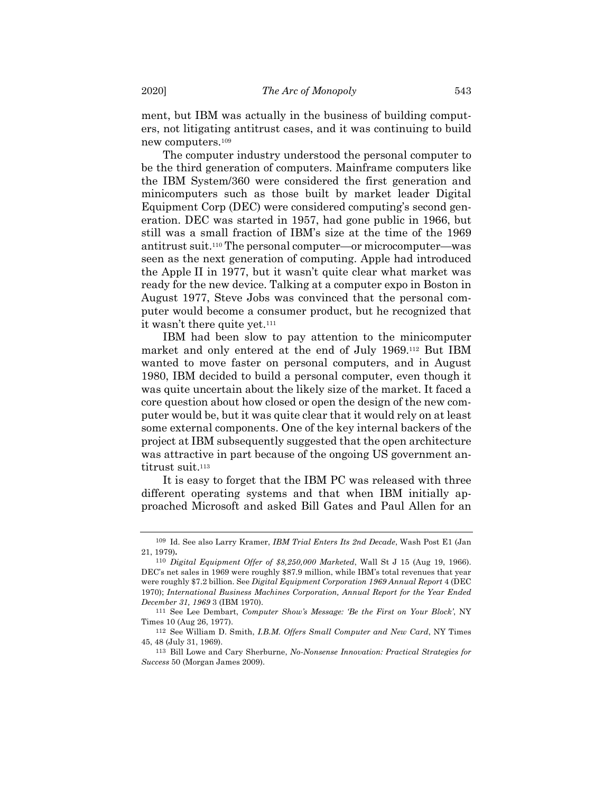ment, but IBM was actually in the business of building computers, not litigating antitrust cases, and it was continuing to build new computers.109

The computer industry understood the personal computer to be the third generation of computers. Mainframe computers like the IBM System/360 were considered the first generation and minicomputers such as those built by market leader Digital Equipment Corp (DEC) were considered computing's second generation. DEC was started in 1957, had gone public in 1966, but still was a small fraction of IBM's size at the time of the 1969 antitrust suit.110 The personal computer—or microcomputer—was seen as the next generation of computing. Apple had introduced the Apple II in 1977, but it wasn't quite clear what market was ready for the new device. Talking at a computer expo in Boston in August 1977, Steve Jobs was convinced that the personal computer would become a consumer product, but he recognized that it wasn't there quite yet.<sup>111</sup>

IBM had been slow to pay attention to the minicomputer market and only entered at the end of July 1969.112 But IBM wanted to move faster on personal computers, and in August 1980, IBM decided to build a personal computer, even though it was quite uncertain about the likely size of the market. It faced a core question about how closed or open the design of the new computer would be, but it was quite clear that it would rely on at least some external components. One of the key internal backers of the project at IBM subsequently suggested that the open architecture was attractive in part because of the ongoing US government antitrust suit.<sup>113</sup>

It is easy to forget that the IBM PC was released with three different operating systems and that when IBM initially approached Microsoft and asked Bill Gates and Paul Allen for an

<sup>109</sup> Id. See also Larry Kramer, *IBM Trial Enters Its 2nd Decade*, Wash Post E1 (Jan 21, 1979)**.**

<sup>110</sup> *Digital Equipment Offer of \$8,250,000 Marketed*, Wall St J 15 (Aug 19, 1966). DEC's net sales in 1969 were roughly \$87.9 million, while IBM's total revenues that year were roughly \$7.2 billion. See *Digital Equipment Corporation 1969 Annual Report* 4 (DEC 1970); *International Business Machines Corporation, Annual Report for the Year Ended December 31, 1969* 3 (IBM 1970).

<sup>111</sup> See Lee Dembart, *Computer Show's Message: 'Be the First on Your Block'*, NY Times 10 (Aug 26, 1977).

<sup>112</sup> See William D. Smith, *I.B.M. Offers Small Computer and New Card*, NY Times 45, 48 (July 31, 1969).

<sup>113</sup> Bill Lowe and Cary Sherburne, *No-Nonsense Innovation: Practical Strategies for Success* 50 (Morgan James 2009).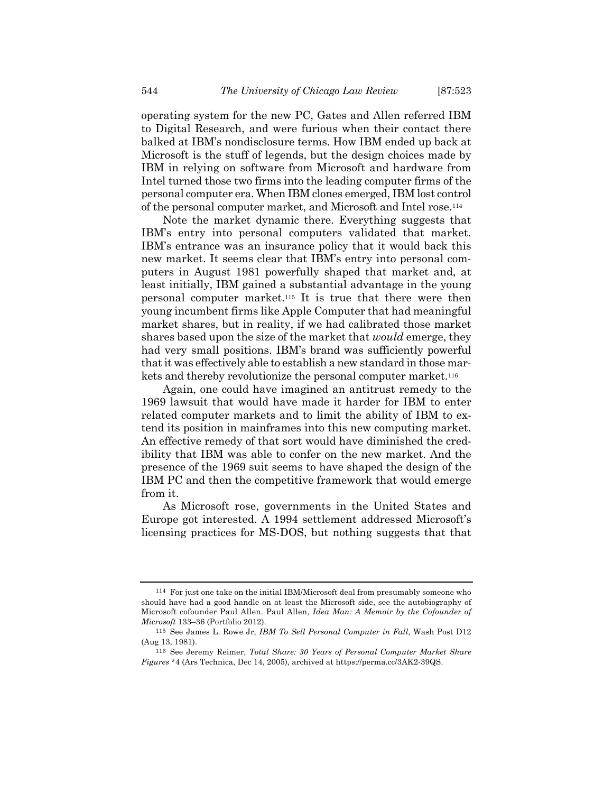operating system for the new PC, Gates and Allen referred IBM to Digital Research, and were furious when their contact there balked at IBM's nondisclosure terms. How IBM ended up back at Microsoft is the stuff of legends, but the design choices made by IBM in relying on software from Microsoft and hardware from Intel turned those two firms into the leading computer firms of the personal computer era. When IBM clones emerged, IBM lost control of the personal computer market, and Microsoft and Intel rose.114

Note the market dynamic there. Everything suggests that IBM's entry into personal computers validated that market. IBM's entrance was an insurance policy that it would back this new market. It seems clear that IBM's entry into personal computers in August 1981 powerfully shaped that market and, at least initially, IBM gained a substantial advantage in the young personal computer market.115 It is true that there were then young incumbent firms like Apple Computer that had meaningful market shares, but in reality, if we had calibrated those market shares based upon the size of the market that *would* emerge, they had very small positions. IBM's brand was sufficiently powerful that it was effectively able to establish a new standard in those markets and thereby revolutionize the personal computer market.<sup>116</sup>

Again, one could have imagined an antitrust remedy to the 1969 lawsuit that would have made it harder for IBM to enter related computer markets and to limit the ability of IBM to extend its position in mainframes into this new computing market. An effective remedy of that sort would have diminished the credibility that IBM was able to confer on the new market. And the presence of the 1969 suit seems to have shaped the design of the IBM PC and then the competitive framework that would emerge from it.

As Microsoft rose, governments in the United States and Europe got interested. A 1994 settlement addressed Microsoft's licensing practices for MS-DOS, but nothing suggests that that

<sup>114</sup> For just one take on the initial IBM/Microsoft deal from presumably someone who should have had a good handle on at least the Microsoft side, see the autobiography of Microsoft cofounder Paul Allen. Paul Allen, *Idea Man: A Memoir by the Cofounder of Microsoft* 133–36 (Portfolio 2012).

<sup>115</sup> See James L. Rowe Jr, *IBM To Sell Personal Computer in Fall*, Wash Post D12 (Aug 13, 1981).

<sup>116</sup> See Jeremy Reimer, *Total Share: 30 Years of Personal Computer Market Share Figures* \*4 (Ars Technica, Dec 14, 2005), archived at https://perma.cc/3AK2-39QS.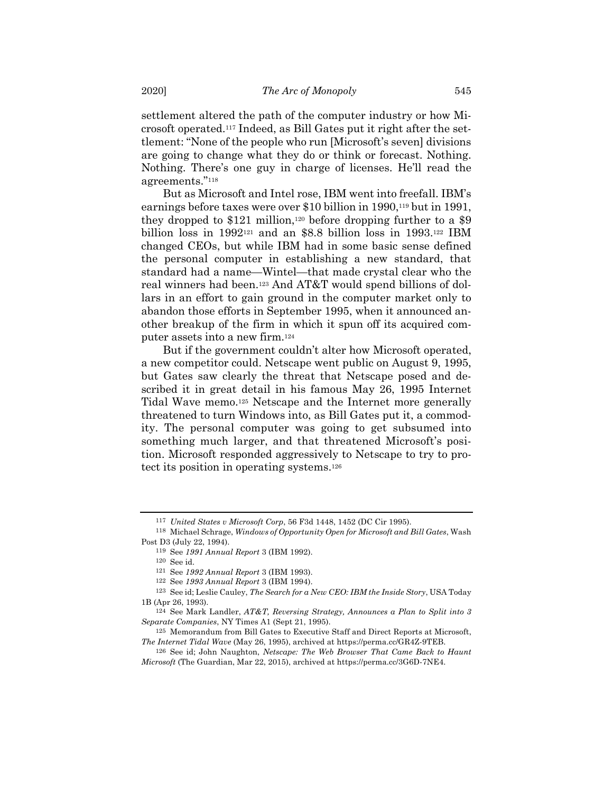settlement altered the path of the computer industry or how Microsoft operated.117 Indeed, as Bill Gates put it right after the settlement: "None of the people who run [Microsoft's seven] divisions are going to change what they do or think or forecast. Nothing. Nothing. There's one guy in charge of licenses. He'll read the agreements."118

But as Microsoft and Intel rose, IBM went into freefall. IBM's earnings before taxes were over \$10 billion in 1990,<sup>119</sup> but in 1991, they dropped to  $$121$  million,<sup>120</sup> before dropping further to a  $$9$ billion loss in 1992121 and an \$8.8 billion loss in 1993.122 IBM changed CEOs, but while IBM had in some basic sense defined the personal computer in establishing a new standard, that standard had a name—Wintel—that made crystal clear who the real winners had been.123 And AT&T would spend billions of dollars in an effort to gain ground in the computer market only to abandon those efforts in September 1995, when it announced another breakup of the firm in which it spun off its acquired computer assets into a new firm.124

But if the government couldn't alter how Microsoft operated, a new competitor could. Netscape went public on August 9, 1995, but Gates saw clearly the threat that Netscape posed and described it in great detail in his famous May 26, 1995 Internet Tidal Wave memo.125 Netscape and the Internet more generally threatened to turn Windows into, as Bill Gates put it, a commodity. The personal computer was going to get subsumed into something much larger, and that threatened Microsoft's position. Microsoft responded aggressively to Netscape to try to protect its position in operating systems.126

<sup>117</sup> *United States v Microsoft Corp*, 56 F3d 1448, 1452 (DC Cir 1995).

<sup>118</sup> Michael Schrage, *Windows of Opportunity Open for Microsoft and Bill Gates*, Wash Post D3 (July 22, 1994).

<sup>119</sup> See *1991 Annual Report* 3 (IBM 1992).

<sup>120</sup> See id.

<sup>121</sup> See *1992 Annual Report* 3 (IBM 1993).

<sup>122</sup> See *1993 Annual Report* 3 (IBM 1994).

<sup>123</sup> See id; Leslie Cauley, *The Search for a New CEO: IBM the Inside Story*, USA Today 1B (Apr 26, 1993).

<sup>124</sup> See Mark Landler, *AT&T, Reversing Strategy, Announces a Plan to Split into 3 Separate Companies*, NY Times A1 (Sept 21, 1995).

<sup>125</sup> Memorandum from Bill Gates to Executive Staff and Direct Reports at Microsoft, *The Internet Tidal Wave* (May 26, 1995), archived at https://perma.cc/GR4Z-9TEB.

<sup>126</sup> See id; John Naughton, *Netscape: The Web Browser That Came Back to Haunt Microsoft* (The Guardian, Mar 22, 2015), archived at https://perma.cc/3G6D-7NE4.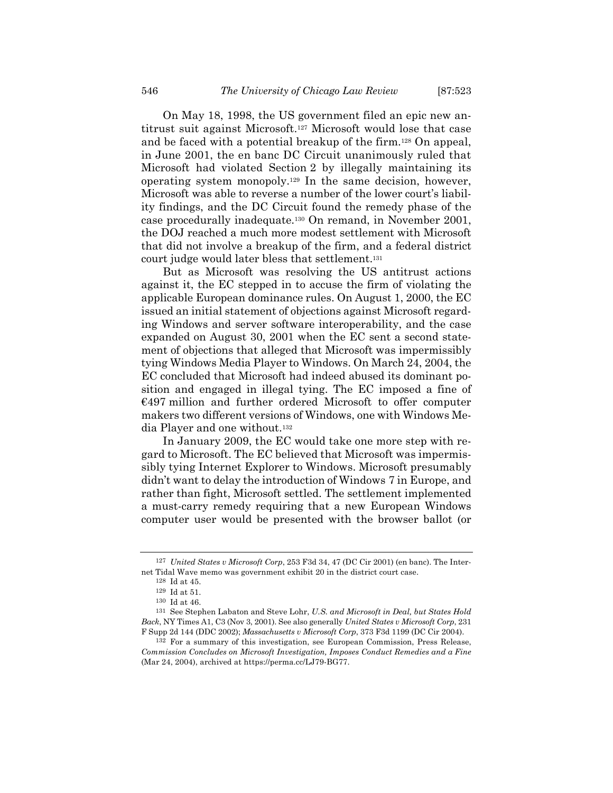On May 18, 1998, the US government filed an epic new antitrust suit against Microsoft.127 Microsoft would lose that case and be faced with a potential breakup of the firm.128 On appeal, in June 2001, the en banc DC Circuit unanimously ruled that Microsoft had violated Section 2 by illegally maintaining its operating system monopoly.129 In the same decision, however, Microsoft was able to reverse a number of the lower court's liability findings, and the DC Circuit found the remedy phase of the case procedurally inadequate.130 On remand, in November 2001, the DOJ reached a much more modest settlement with Microsoft that did not involve a breakup of the firm, and a federal district court judge would later bless that settlement.131

But as Microsoft was resolving the US antitrust actions against it, the EC stepped in to accuse the firm of violating the applicable European dominance rules. On August 1, 2000, the EC issued an initial statement of objections against Microsoft regarding Windows and server software interoperability, and the case expanded on August 30, 2001 when the EC sent a second statement of objections that alleged that Microsoft was impermissibly tying Windows Media Player to Windows. On March 24, 2004, the EC concluded that Microsoft had indeed abused its dominant position and engaged in illegal tying. The EC imposed a fine of €497 million and further ordered Microsoft to offer computer makers two different versions of Windows, one with Windows Media Player and one without.132

In January 2009, the EC would take one more step with regard to Microsoft. The EC believed that Microsoft was impermissibly tying Internet Explorer to Windows. Microsoft presumably didn't want to delay the introduction of Windows 7 in Europe, and rather than fight, Microsoft settled. The settlement implemented a must-carry remedy requiring that a new European Windows computer user would be presented with the browser ballot (or

<sup>127</sup> *United States v Microsoft Corp*, 253 F3d 34, 47 (DC Cir 2001) (en banc). The Internet Tidal Wave memo was government exhibit 20 in the district court case.

<sup>128</sup> Id at 45.

<sup>129</sup> Id at 51.

<sup>130</sup> Id at 46.

<sup>131</sup> See Stephen Labaton and Steve Lohr, *U.S. and Microsoft in Deal, but States Hold Back*, NY Times A1, C3 (Nov 3, 2001). See also generally *United States v Microsoft Corp*, 231 F Supp 2d 144 (DDC 2002); *Massachusetts v Microsoft Corp*, 373 F3d 1199 (DC Cir 2004).

<sup>132</sup> For a summary of this investigation, see European Commission, Press Release, *Commission Concludes on Microsoft Investigation, Imposes Conduct Remedies and a Fine* (Mar 24, 2004), archived at https://perma.cc/LJ79-BG77.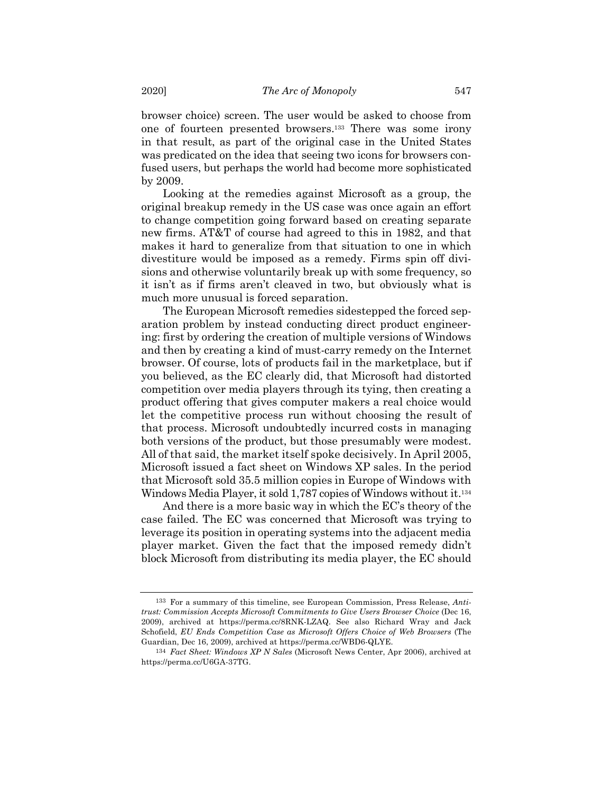browser choice) screen. The user would be asked to choose from one of fourteen presented browsers.133 There was some irony in that result, as part of the original case in the United States was predicated on the idea that seeing two icons for browsers confused users, but perhaps the world had become more sophisticated by 2009.

Looking at the remedies against Microsoft as a group, the original breakup remedy in the US case was once again an effort to change competition going forward based on creating separate new firms. AT&T of course had agreed to this in 1982, and that makes it hard to generalize from that situation to one in which divestiture would be imposed as a remedy. Firms spin off divisions and otherwise voluntarily break up with some frequency, so it isn't as if firms aren't cleaved in two, but obviously what is much more unusual is forced separation.

The European Microsoft remedies sidestepped the forced separation problem by instead conducting direct product engineering: first by ordering the creation of multiple versions of Windows and then by creating a kind of must-carry remedy on the Internet browser. Of course, lots of products fail in the marketplace, but if you believed, as the EC clearly did, that Microsoft had distorted competition over media players through its tying, then creating a product offering that gives computer makers a real choice would let the competitive process run without choosing the result of that process. Microsoft undoubtedly incurred costs in managing both versions of the product, but those presumably were modest. All of that said, the market itself spoke decisively. In April 2005, Microsoft issued a fact sheet on Windows XP sales. In the period that Microsoft sold 35.5 million copies in Europe of Windows with Windows Media Player, it sold 1,787 copies of Windows without it.134

And there is a more basic way in which the EC's theory of the case failed. The EC was concerned that Microsoft was trying to leverage its position in operating systems into the adjacent media player market. Given the fact that the imposed remedy didn't block Microsoft from distributing its media player, the EC should

<sup>133</sup> For a summary of this timeline, see European Commission, Press Release, *Antitrust: Commission Accepts Microsoft Commitments to Give Users Browser Choice* (Dec 16, 2009), archived at https://perma.cc/8RNK-LZAQ. See also Richard Wray and Jack Schofield, *EU Ends Competition Case as Microsoft Offers Choice of Web Browsers* (The Guardian, Dec 16, 2009), archived at https://perma.cc/WBD6-QLYE.

<sup>134</sup> *Fact Sheet: Windows XP N Sales* (Microsoft News Center, Apr 2006), archived at https://perma.cc/U6GA-37TG.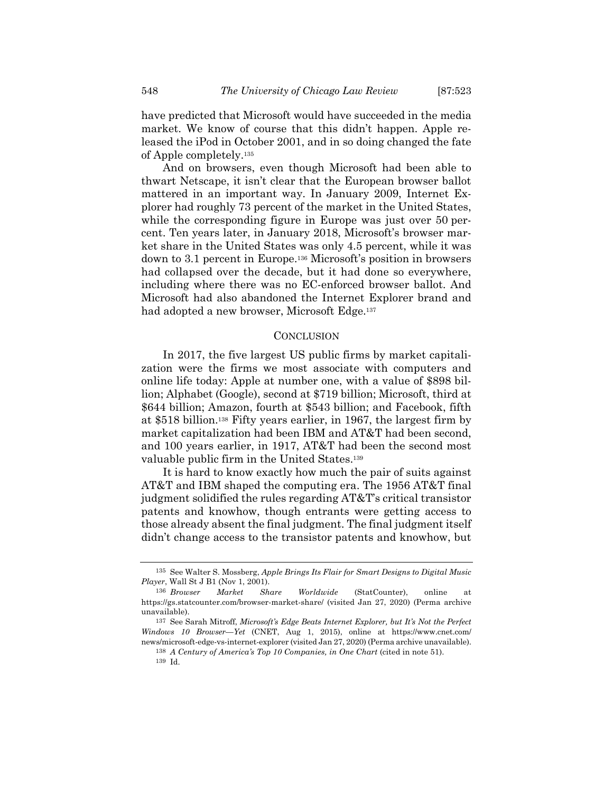have predicted that Microsoft would have succeeded in the media market. We know of course that this didn't happen. Apple released the iPod in October 2001, and in so doing changed the fate of Apple completely.135

And on browsers, even though Microsoft had been able to thwart Netscape, it isn't clear that the European browser ballot mattered in an important way. In January 2009, Internet Explorer had roughly 73 percent of the market in the United States, while the corresponding figure in Europe was just over 50 percent. Ten years later, in January 2018, Microsoft's browser market share in the United States was only 4.5 percent, while it was down to 3.1 percent in Europe.136 Microsoft's position in browsers had collapsed over the decade, but it had done so everywhere, including where there was no EC-enforced browser ballot. And Microsoft had also abandoned the Internet Explorer brand and had adopted a new browser, Microsoft Edge.<sup>137</sup>

#### **CONCLUSION**

In 2017, the five largest US public firms by market capitalization were the firms we most associate with computers and online life today: Apple at number one, with a value of \$898 billion; Alphabet (Google), second at \$719 billion; Microsoft, third at \$644 billion; Amazon, fourth at \$543 billion; and Facebook, fifth at \$518 billion.138 Fifty years earlier, in 1967, the largest firm by market capitalization had been IBM and AT&T had been second, and 100 years earlier, in 1917, AT&T had been the second most valuable public firm in the United States.139

It is hard to know exactly how much the pair of suits against AT&T and IBM shaped the computing era. The 1956 AT&T final judgment solidified the rules regarding AT&T's critical transistor patents and knowhow, though entrants were getting access to those already absent the final judgment. The final judgment itself didn't change access to the transistor patents and knowhow, but

<sup>135</sup> See Walter S. Mossberg, *Apple Brings Its Flair for Smart Designs to Digital Music Player*, Wall St J B1 (Nov 1, 2001).

<sup>136</sup> *Browser Market Share Worldwide* (StatCounter), online at https://gs.statcounter.com/browser-market-share/ (visited Jan 27, 2020) (Perma archive unavailable).

<sup>137</sup> See Sarah Mitroff, *Microsoft's Edge Beats Internet Explorer, but It's Not the Perfect Windows 10 Browser—Yet* (CNET, Aug 1, 2015), online at https://www.cnet.com/ news/microsoft-edge-vs-internet-explorer (visited Jan 27, 2020) (Perma archive unavailable).

<sup>138</sup> *A Century of America's Top 10 Companies, in One Chart* (cited in note 51).

<sup>139</sup> Id.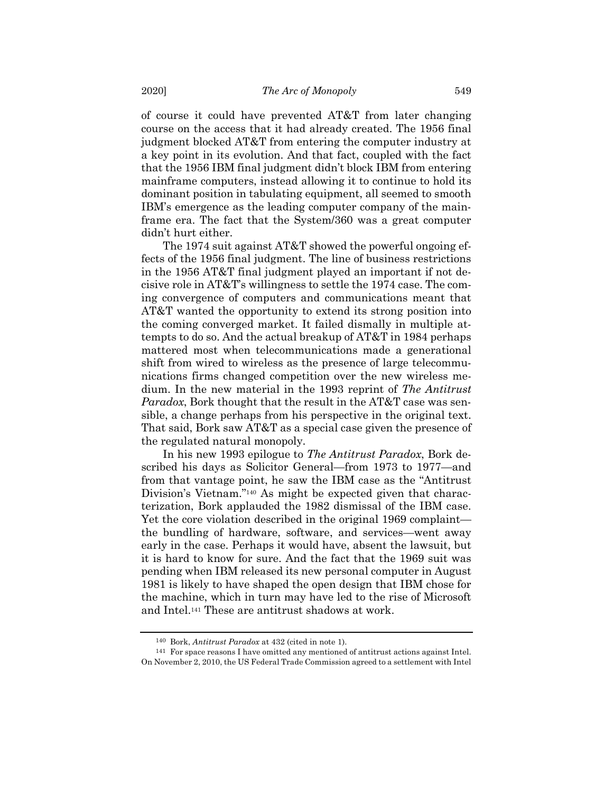of course it could have prevented AT&T from later changing course on the access that it had already created. The 1956 final judgment blocked AT&T from entering the computer industry at a key point in its evolution. And that fact, coupled with the fact that the 1956 IBM final judgment didn't block IBM from entering mainframe computers, instead allowing it to continue to hold its dominant position in tabulating equipment, all seemed to smooth IBM's emergence as the leading computer company of the mainframe era. The fact that the System/360 was a great computer didn't hurt either.

The 1974 suit against AT&T showed the powerful ongoing effects of the 1956 final judgment. The line of business restrictions in the 1956 AT&T final judgment played an important if not decisive role in AT&T's willingness to settle the 1974 case. The coming convergence of computers and communications meant that AT&T wanted the opportunity to extend its strong position into the coming converged market. It failed dismally in multiple attempts to do so. And the actual breakup of AT&T in 1984 perhaps mattered most when telecommunications made a generational shift from wired to wireless as the presence of large telecommunications firms changed competition over the new wireless medium. In the new material in the 1993 reprint of *The Antitrust Paradox*, Bork thought that the result in the AT&T case was sensible, a change perhaps from his perspective in the original text. That said, Bork saw AT&T as a special case given the presence of the regulated natural monopoly.

In his new 1993 epilogue to *The Antitrust Paradox*, Bork described his days as Solicitor General—from 1973 to 1977—and from that vantage point, he saw the IBM case as the "Antitrust Division's Vietnam."<sup>140</sup> As might be expected given that characterization, Bork applauded the 1982 dismissal of the IBM case. Yet the core violation described in the original 1969 complaint the bundling of hardware, software, and services—went away early in the case. Perhaps it would have, absent the lawsuit, but it is hard to know for sure. And the fact that the 1969 suit was pending when IBM released its new personal computer in August 1981 is likely to have shaped the open design that IBM chose for the machine, which in turn may have led to the rise of Microsoft and Intel.141 These are antitrust shadows at work.

<sup>140</sup> Bork, *Antitrust Paradox* at 432 (cited in note 1).

<sup>141</sup> For space reasons I have omitted any mentioned of antitrust actions against Intel. On November 2, 2010, the US Federal Trade Commission agreed to a settlement with Intel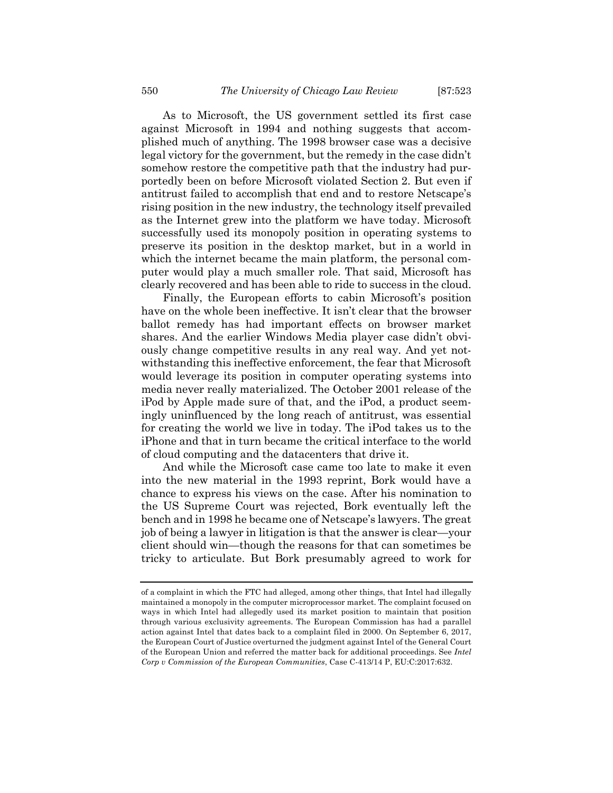As to Microsoft, the US government settled its first case against Microsoft in 1994 and nothing suggests that accomplished much of anything. The 1998 browser case was a decisive legal victory for the government, but the remedy in the case didn't somehow restore the competitive path that the industry had purportedly been on before Microsoft violated Section 2. But even if antitrust failed to accomplish that end and to restore Netscape's rising position in the new industry, the technology itself prevailed as the Internet grew into the platform we have today. Microsoft successfully used its monopoly position in operating systems to preserve its position in the desktop market, but in a world in which the internet became the main platform, the personal computer would play a much smaller role. That said, Microsoft has clearly recovered and has been able to ride to success in the cloud.

Finally, the European efforts to cabin Microsoft's position have on the whole been ineffective. It isn't clear that the browser ballot remedy has had important effects on browser market shares. And the earlier Windows Media player case didn't obviously change competitive results in any real way. And yet notwithstanding this ineffective enforcement, the fear that Microsoft would leverage its position in computer operating systems into media never really materialized. The October 2001 release of the iPod by Apple made sure of that, and the iPod, a product seemingly uninfluenced by the long reach of antitrust, was essential for creating the world we live in today. The iPod takes us to the iPhone and that in turn became the critical interface to the world of cloud computing and the datacenters that drive it.

And while the Microsoft case came too late to make it even into the new material in the 1993 reprint, Bork would have a chance to express his views on the case. After his nomination to the US Supreme Court was rejected, Bork eventually left the bench and in 1998 he became one of Netscape's lawyers. The great job of being a lawyer in litigation is that the answer is clear—your client should win—though the reasons for that can sometimes be tricky to articulate. But Bork presumably agreed to work for

of a complaint in which the FTC had alleged, among other things, that Intel had illegally maintained a monopoly in the computer microprocessor market. The complaint focused on ways in which Intel had allegedly used its market position to maintain that position through various exclusivity agreements. The European Commission has had a parallel action against Intel that dates back to a complaint filed in 2000. On September 6, 2017, the European Court of Justice overturned the judgment against Intel of the General Court of the European Union and referred the matter back for additional proceedings. See *Intel Corp v Commission of the European Communities*, Case C-413/14 P, EU:C:2017:632.